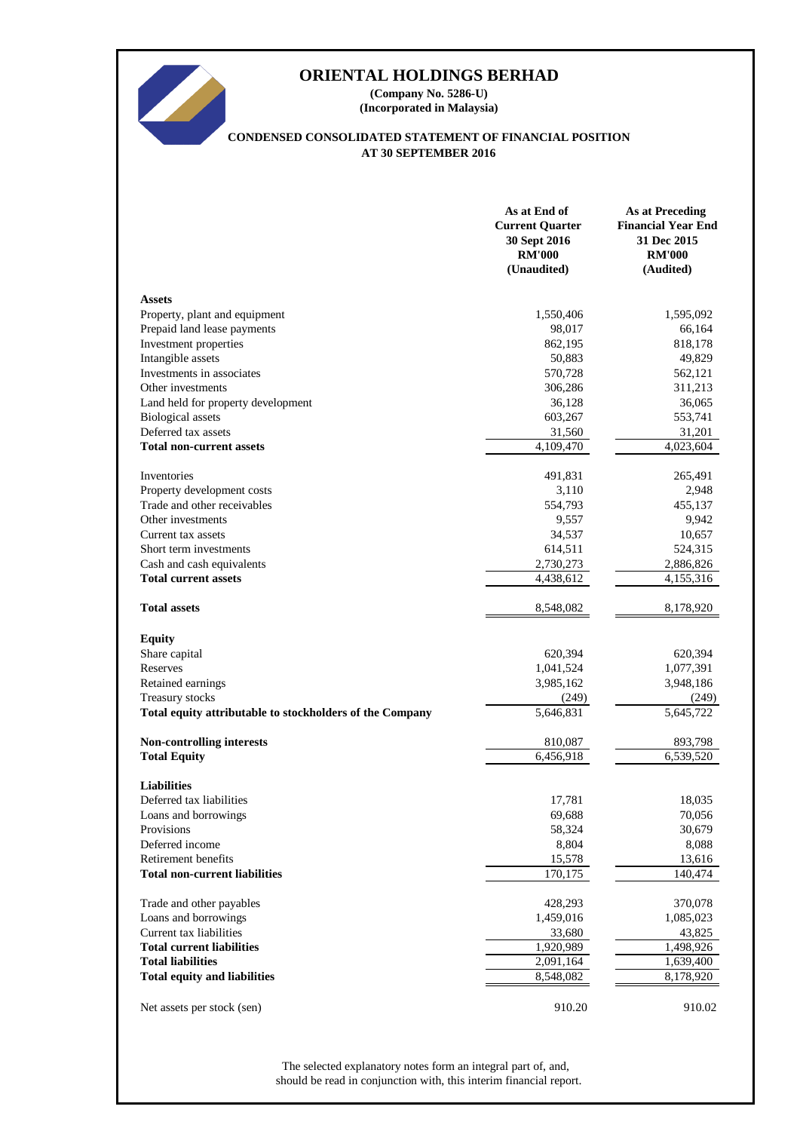

**(Company No. 5286-U) (Incorporated in Malaysia)**

# **CONDENSED CONSOLIDATED STATEMENT OF FINANCIAL POSITION AT 30 SEPTEMBER 2016**

|                                                          | As at End of<br><b>Current Quarter</b><br>30 Sept 2016<br><b>RM'000</b><br>(Unaudited) | <b>As at Preceding</b><br><b>Financial Year End</b><br>31 Dec 2015<br><b>RM'000</b><br>(Audited) |
|----------------------------------------------------------|----------------------------------------------------------------------------------------|--------------------------------------------------------------------------------------------------|
| <b>Assets</b>                                            |                                                                                        |                                                                                                  |
| Property, plant and equipment                            | 1,550,406                                                                              | 1,595,092                                                                                        |
| Prepaid land lease payments                              | 98,017                                                                                 | 66,164                                                                                           |
| Investment properties                                    | 862,195                                                                                | 818,178                                                                                          |
| Intangible assets                                        | 50,883                                                                                 | 49,829                                                                                           |
| Investments in associates                                | 570,728                                                                                | 562,121                                                                                          |
| Other investments                                        | 306,286                                                                                | 311,213                                                                                          |
| Land held for property development                       | 36,128                                                                                 | 36,065                                                                                           |
| <b>Biological</b> assets                                 | 603,267                                                                                | 553,741                                                                                          |
| Deferred tax assets                                      | 31,560                                                                                 | 31,201                                                                                           |
| <b>Total non-current assets</b>                          | 4,109,470                                                                              | 4,023,604                                                                                        |
|                                                          |                                                                                        |                                                                                                  |
| Inventories                                              | 491,831                                                                                | 265,491                                                                                          |
| Property development costs                               | 3,110                                                                                  | 2,948                                                                                            |
| Trade and other receivables                              | 554,793                                                                                | 455,137                                                                                          |
| Other investments                                        | 9,557                                                                                  | 9,942                                                                                            |
| Current tax assets                                       | 34,537                                                                                 | 10,657                                                                                           |
| Short term investments                                   | 614,511                                                                                | 524,315                                                                                          |
| Cash and cash equivalents                                | 2,730,273                                                                              | 2,886,826                                                                                        |
| <b>Total current assets</b>                              | 4,438,612                                                                              | 4,155,316                                                                                        |
| <b>Total assets</b>                                      | 8,548,082                                                                              | 8,178,920                                                                                        |
| <b>Equity</b>                                            |                                                                                        |                                                                                                  |
| Share capital                                            | 620,394                                                                                | 620,394                                                                                          |
| Reserves                                                 | 1,041,524                                                                              | 1,077,391                                                                                        |
| Retained earnings                                        | 3,985,162                                                                              | 3,948,186                                                                                        |
| Treasury stocks                                          | (249)                                                                                  | (249)                                                                                            |
| Total equity attributable to stockholders of the Company | 5,646,831                                                                              | 5,645,722                                                                                        |
| <b>Non-controlling interests</b>                         | 810,087                                                                                | 893,798                                                                                          |
| <b>Total Equity</b>                                      | 6,456,918                                                                              | 6,539,520                                                                                        |
|                                                          |                                                                                        |                                                                                                  |
| <b>Liabilities</b><br>Deferred tax liabilities           | 17,781                                                                                 | 18,035                                                                                           |
| Loans and borrowings                                     | 69,688                                                                                 | 70,056                                                                                           |
| Provisions                                               | 58,324                                                                                 | 30,679                                                                                           |
| Deferred income                                          | 8,804                                                                                  | 8,088                                                                                            |
| Retirement benefits                                      | 15,578                                                                                 | 13,616                                                                                           |
| <b>Total non-current liabilities</b>                     | 170,175                                                                                | 140,474                                                                                          |
|                                                          |                                                                                        |                                                                                                  |
| Trade and other payables                                 | 428,293                                                                                | 370,078                                                                                          |
| Loans and borrowings                                     | 1,459,016                                                                              | 1,085,023                                                                                        |
| Current tax liabilities                                  | 33,680                                                                                 | 43,825                                                                                           |
| <b>Total current liabilities</b>                         | 1,920,989                                                                              | 1,498,926                                                                                        |
| <b>Total liabilities</b>                                 | 2,091,164                                                                              | 1,639,400                                                                                        |
| <b>Total equity and liabilities</b>                      | 8,548,082                                                                              | 8,178,920                                                                                        |
| Net assets per stock (sen)                               | 910.20                                                                                 | 910.02                                                                                           |

should be read in conjunction with, this interim financial report. The selected explanatory notes form an integral part of, and,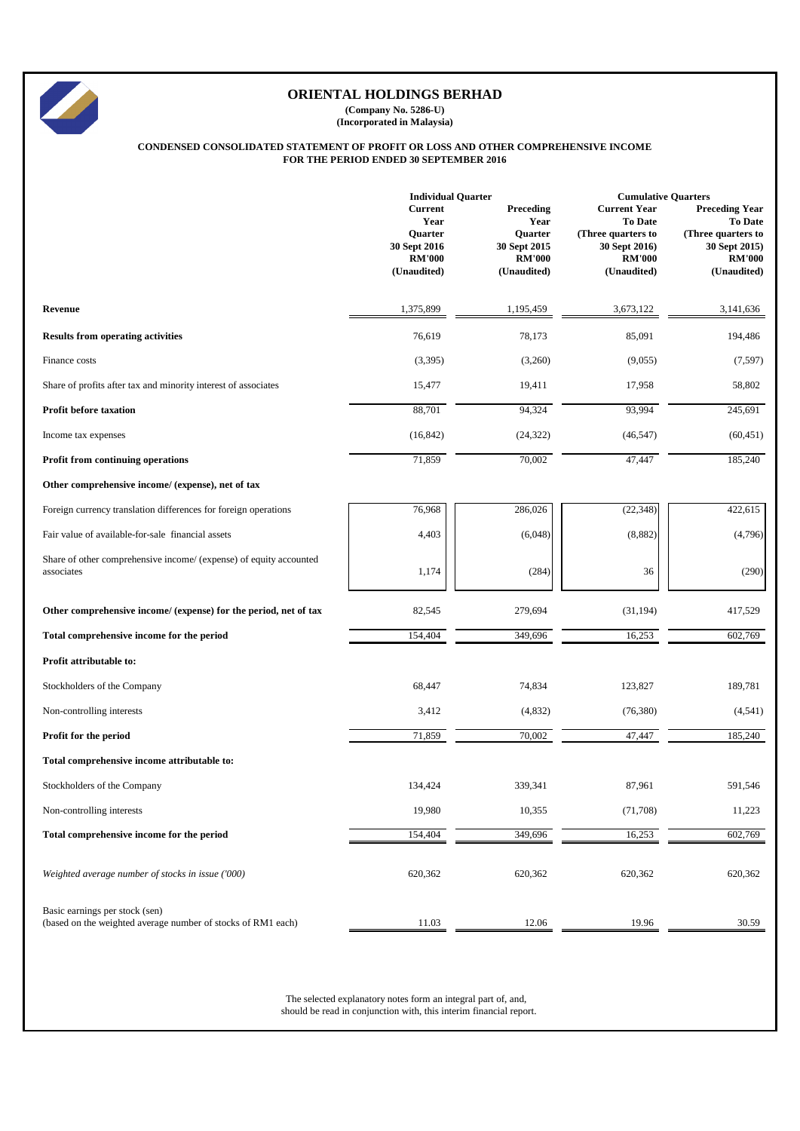|                                                                                  | <b>Individual Quarter</b>                                                         |                                                                              | <b>Cumulative Quarters</b>                                                                                   |                                                                                                                |  |
|----------------------------------------------------------------------------------|-----------------------------------------------------------------------------------|------------------------------------------------------------------------------|--------------------------------------------------------------------------------------------------------------|----------------------------------------------------------------------------------------------------------------|--|
|                                                                                  | <b>Current</b><br>Year<br>Quarter<br>30 Sept 2016<br><b>RM'000</b><br>(Unaudited) | Preceding<br>Year<br>Quarter<br>30 Sept 2015<br><b>RM'000</b><br>(Unaudited) | <b>Current Year</b><br><b>To Date</b><br>(Three quarters to<br>30 Sept 2016)<br><b>RM'000</b><br>(Unaudited) | <b>Preceding Year</b><br><b>To Date</b><br>(Three quarters to<br>30 Sept 2015)<br><b>RM'000</b><br>(Unaudited) |  |
| Revenue                                                                          | 1,375,899                                                                         | 1,195,459                                                                    | 3,673,122                                                                                                    | 3,141,636                                                                                                      |  |
| <b>Results from operating activities</b>                                         | 76,619                                                                            | 78,173                                                                       | 85,091                                                                                                       | 194,486                                                                                                        |  |
| Finance costs                                                                    | (3,395)                                                                           | (3,260)                                                                      | (9,055)                                                                                                      | (7,597)                                                                                                        |  |
| Share of profits after tax and minority interest of associates                   | 15,477                                                                            | 19,411                                                                       | 17,958                                                                                                       | 58,802                                                                                                         |  |
| <b>Profit before taxation</b>                                                    | 88,701                                                                            | 94,324                                                                       | 93,994                                                                                                       | 245,691                                                                                                        |  |
| Income tax expenses                                                              | (16, 842)                                                                         | (24, 322)                                                                    | (46, 547)                                                                                                    | (60, 451)                                                                                                      |  |
| <b>Profit from continuing operations</b>                                         | 71,859                                                                            | 70,002                                                                       | 47,447                                                                                                       | 185,240                                                                                                        |  |
| Other comprehensive income/ (expense), net of tax                                |                                                                                   |                                                                              |                                                                                                              |                                                                                                                |  |
| Foreign currency translation differences for foreign operations                  | 76,968                                                                            | 286,026                                                                      | (22, 348)                                                                                                    | 422,615                                                                                                        |  |
| Fair value of available-for-sale financial assets                                | 4,403                                                                             | (6,048)                                                                      | (8,882)                                                                                                      | (4,796)                                                                                                        |  |
| Share of other comprehensive income/ (expense) of equity accounted<br>associates | 1,174                                                                             | (284)                                                                        | 36                                                                                                           | (290)                                                                                                          |  |
| Other comprehensive income/ (expense) for the period, net of tax                 | 82,545                                                                            | 279,694                                                                      | (31, 194)                                                                                                    | 417,529                                                                                                        |  |
| Total comprehensive income for the period                                        | 154,404                                                                           | 349,696                                                                      | 16,253                                                                                                       | 602,769                                                                                                        |  |
| Profit attributable to:                                                          |                                                                                   |                                                                              |                                                                                                              |                                                                                                                |  |
| Stockholders of the Company                                                      | 68,447                                                                            | 74,834                                                                       | 123,827                                                                                                      | 189,781                                                                                                        |  |
| Non-controlling interests                                                        | 3,412                                                                             | (4,832)                                                                      | (76, 380)                                                                                                    | (4, 541)                                                                                                       |  |
| Profit for the period                                                            | 71,859                                                                            | 70,002                                                                       | 47,447                                                                                                       | 185,240                                                                                                        |  |
| Total comprehensive income attributable to:                                      |                                                                                   |                                                                              |                                                                                                              |                                                                                                                |  |
| Stockholders of the Company                                                      | 134,424                                                                           | 339,341                                                                      | 87,961                                                                                                       | 591,546                                                                                                        |  |
| Non-controlling interests                                                        | 19,980                                                                            | 10,355                                                                       | (71,708)                                                                                                     | 11,223                                                                                                         |  |
| Total comprehensive income for the period                                        | 154,404                                                                           | 349,696                                                                      | 16,253                                                                                                       | 602,769                                                                                                        |  |
| Weighted average number of stocks in issue ('000)                                | 620,362                                                                           | 620,362                                                                      | 620,362                                                                                                      | 620,362                                                                                                        |  |





# **ORIENTAL HOLDINGS BERHAD**

**(Company No. 5286-U) (Incorporated in Malaysia)**

# **CONDENSED CONSOLIDATED STATEMENT OF PROFIT OR LOSS AND OTHER COMPREHENSIVE INCOME FOR THE PERIOD ENDED 30 SEPTEMBER 2016**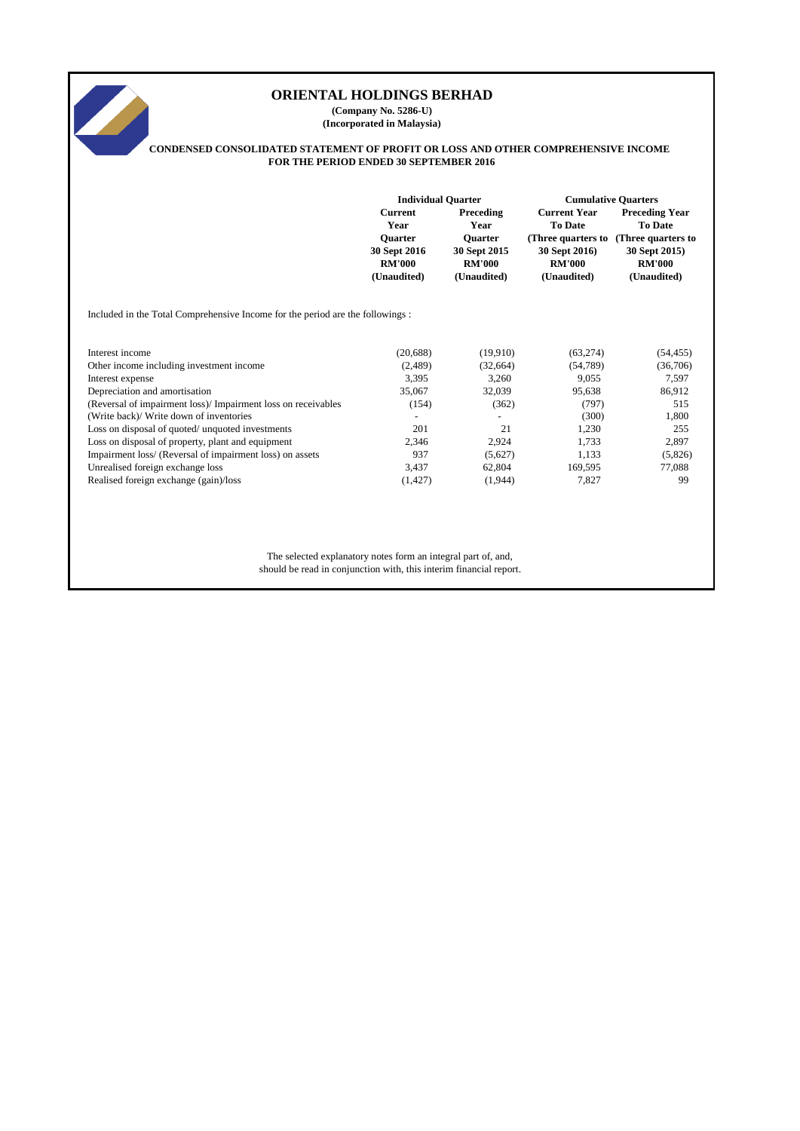# **Current Preceding Current Year Preceding Year Year Year To Date To Date Quarter Quarter (Three quarters to (Three quarters to 30 Sept 2016 30 Sept 2015 30 Sept 2016) 30 Sept 2015) RM'000 RM'000 RM'000 RM'000 (Unaudited) (Unaudited) (Unaudited) (Unaudited)** Included in the Total Comprehensive Income for the period are the followings : Interest income (20,688) (19,910) (63,274) (54,455) Other income including investment income (2,489) (32,664) (54,789) (36,706) Interest expense 3,395 3,260 9,055 7,597 Depreciation and amortisation 35,067 32,039 95,638 86,912 (Reversal of impairment loss)/ Impairment loss on receivables (154) (362) (797) 515 (Write back)/ Write down of inventories  $\qquad \qquad$  - (300) 1,800 Loss on disposal of quoted/ unquoted investments 201 21 1,230 255 Loss on disposal of property, plant and equipment 2,346 2,924 1,733 2,897 Impairment loss/ (Reversal of impairment loss) on assets 937 (5,627) 1,133 (5,826) Unrealised foreign exchange loss 3,437 62,804 169,595 77,088 Realised foreign exchange (gain)/loss (1,427) (1,944) 7,827 99 The selected explanatory notes form an integral part of, and, should be read in conjunction with, this interim financial report. **ORIENTAL HOLDINGS BERHAD (Company No. 5286-U) (Incorporated in Malaysia) CONDENSED CONSOLIDATED STATEMENT OF PROFIT OR LOSS AND OTHER COMPREHENSIVE INCOME FOR THE PERIOD ENDED 30 SEPTEMBER 2016 Individual Quarter Cumulative Quarters**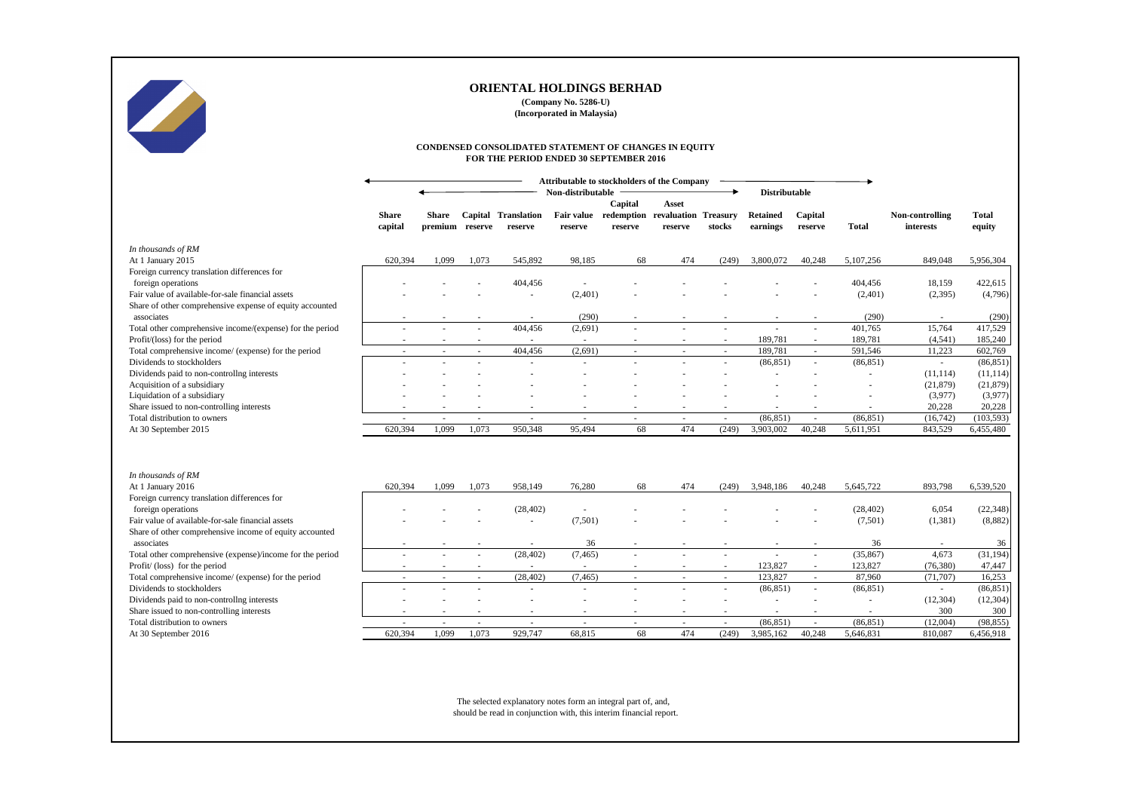|                                                                                           | CONDENSED CONSOLIDATED STATEMENT OF CHANGES IN EQUITY<br>FOR THE PERIOD ENDED 30 SEPTEMBER 2016 |                                 |                                                      |                                       |                              |                    |                                                            |                          |                             |                          |                      |                              |                        |
|-------------------------------------------------------------------------------------------|-------------------------------------------------------------------------------------------------|---------------------------------|------------------------------------------------------|---------------------------------------|------------------------------|--------------------|------------------------------------------------------------|--------------------------|-----------------------------|--------------------------|----------------------|------------------------------|------------------------|
|                                                                                           | Attributable to stockholders of the Company<br><b>Distributable</b><br>Non-distributable        |                                 |                                                      |                                       |                              |                    |                                                            |                          |                             |                          |                      |                              |                        |
|                                                                                           | <b>Share</b><br>capital                                                                         | <b>Share</b><br>premium reserve |                                                      | <b>Capital Translation</b><br>reserve | <b>Fair value</b><br>reserve | Capital<br>reserve | <b>Asset</b><br>redemption revaluation Treasury<br>reserve | stocks                   | <b>Retained</b><br>earnings | Capital<br>reserve       | <b>Total</b>         | Non-controlling<br>interests | <b>Total</b><br>equity |
| In thousands of RM                                                                        |                                                                                                 |                                 |                                                      |                                       |                              |                    |                                                            |                          |                             |                          |                      |                              |                        |
| At 1 January 2015                                                                         | 620,394                                                                                         | 1,099                           | 1,073                                                | 545,892                               | 98,185                       | 68                 | 474                                                        | (249)                    | 3,800,072                   | 40,248                   | 5,107,256            | 849,048                      | 5,956,304              |
| Foreign currency translation differences for                                              |                                                                                                 |                                 |                                                      |                                       |                              |                    |                                                            |                          |                             |                          |                      |                              |                        |
| foreign operations                                                                        |                                                                                                 |                                 |                                                      | 404,456                               |                              |                    |                                                            |                          |                             |                          | 404,456              | 18,159                       | 422,615                |
| Fair value of available-for-sale financial assets                                         |                                                                                                 |                                 |                                                      |                                       | (2,401)                      |                    |                                                            |                          |                             |                          | (2,401)              | (2, 395)                     | (4,796)                |
| Share of other comprehensive expense of equity accounted<br>associates                    |                                                                                                 |                                 | $\overline{\phantom{a}}$                             |                                       | (290)                        |                    |                                                            | $\sim$                   |                             | $\overline{\phantom{a}}$ | (290)                |                              | (290)                  |
| Total other comprehensive income/(expense) for the period                                 |                                                                                                 |                                 |                                                      | $\overline{\phantom{a}}$<br>404,456   | (2,691)                      |                    |                                                            | $\overline{\phantom{a}}$ | $\sim$                      | $\blacksquare$           | 401,765              | 15,764                       | 417,529                |
| Profit/(loss) for the period                                                              |                                                                                                 |                                 |                                                      |                                       |                              |                    |                                                            |                          | 189,781                     |                          | 189,781              | (4, 541)                     | 185,240                |
| Total comprehensive income/ (expense) for the period                                      |                                                                                                 |                                 |                                                      | 404,456                               | (2,691)                      |                    |                                                            |                          | 189,781                     |                          | 591,546              | 11,223                       | 602,769                |
| Dividends to stockholders                                                                 |                                                                                                 |                                 |                                                      | $\sim$                                |                              |                    |                                                            |                          | (86, 851)                   | $\sim$                   | (86, 851)            |                              | (86, 851)              |
| Dividends paid to non-controllng interests                                                |                                                                                                 |                                 |                                                      |                                       |                              |                    |                                                            |                          |                             |                          |                      | (11, 114)                    | (11, 114)              |
| Acquisition of a subsidiary                                                               |                                                                                                 |                                 |                                                      |                                       |                              |                    |                                                            |                          |                             |                          |                      | (21,879)                     | (21,879)               |
| Liquidation of a subsidiary                                                               |                                                                                                 |                                 |                                                      |                                       |                              |                    |                                                            |                          |                             |                          |                      | (3,977)                      | (3,977)                |
| Share issued to non-controlling interests                                                 |                                                                                                 |                                 |                                                      | $\overline{\phantom{a}}$              |                              |                    |                                                            |                          |                             | $\overline{\phantom{a}}$ |                      | 20,228                       | 20,228                 |
| Total distribution to owners                                                              | $\overline{\phantom{a}}$                                                                        | $\sim$                          | $\sim$                                               | $\sim$                                | $\sim$                       | $\sim$             | $\sim$                                                     | $\sim$                   | (86, 851)                   | $\sim$                   | (86, 851)            | (16,742)                     | (103, 593)             |
| At 30 September 2015                                                                      | 620,394                                                                                         | 1,099                           | 1,073                                                | 950,348                               | 95,494                       | 68                 | 474                                                        | (249)                    | 3,903,002                   | 40,248                   | 5,611,951            | 843,529                      | 6,455,480              |
| In thousands of RM                                                                        |                                                                                                 |                                 |                                                      |                                       |                              |                    |                                                            |                          |                             |                          |                      |                              |                        |
| At 1 January 2016                                                                         | 620,394                                                                                         | 1,099                           | 1,073                                                | 958,149                               | 76,280                       | 68                 | 474                                                        | (249)                    | 3,948,186                   | 40,248                   | 5,645,722            | 893,798                      | 6,539,520              |
| Foreign currency translation differences for                                              |                                                                                                 |                                 |                                                      |                                       |                              |                    |                                                            |                          |                             |                          |                      |                              |                        |
| foreign operations                                                                        |                                                                                                 |                                 |                                                      | (28, 402)                             |                              |                    |                                                            |                          |                             |                          | (28, 402)            | 6,054                        | (22, 348)              |
| Fair value of available-for-sale financial assets                                         |                                                                                                 |                                 |                                                      | $\overline{\phantom{a}}$              | (7,501)                      |                    |                                                            |                          |                             |                          | (7,501)              | (1,381)                      | (8,882)                |
| Share of other comprehensive income of equity accounted                                   |                                                                                                 |                                 |                                                      |                                       |                              |                    |                                                            |                          |                             |                          |                      |                              |                        |
| associates                                                                                |                                                                                                 |                                 |                                                      | $\sim$                                | 36                           |                    |                                                            |                          |                             |                          | 36                   |                              | 36                     |
| Total other comprehensive (expense)/income for the period<br>Profit/(loss) for the period |                                                                                                 |                                 |                                                      | (28, 402)                             | (7, 465)                     |                    |                                                            |                          | $\sim$<br>123,827           |                          | (35, 867)<br>123,827 | 4,673                        | (31, 194)              |
| Total comprehensive income/ (expense) for the period                                      |                                                                                                 |                                 | $\overline{\phantom{a}}$<br>$\overline{\phantom{a}}$ | (28, 402)                             | (7, 465)                     |                    | $\overline{\phantom{a}}$                                   | $\sim$                   | 123,827                     |                          | 87,960               | (76, 380)<br>(71, 707)       | 47,447<br>16,253       |
| Dividends to stockholders                                                                 |                                                                                                 |                                 |                                                      | $\overline{\phantom{a}}$              |                              |                    |                                                            |                          | (86, 851)                   | $\sim$                   | (86, 851)            | $\sim$                       | (86, 851)              |
| Dividends paid to non-controllng interests                                                |                                                                                                 |                                 |                                                      |                                       |                              |                    |                                                            |                          |                             |                          |                      | (12, 304)                    | (12, 304)              |
| Share issued to non-controlling interests                                                 |                                                                                                 |                                 |                                                      | $\sim$                                |                              |                    |                                                            |                          |                             |                          |                      | 300                          | 300                    |
| Total distribution to owners                                                              |                                                                                                 |                                 | $\overline{\phantom{a}}$                             | $\sim$                                |                              |                    |                                                            |                          | (86, 851)                   | $\sim$                   | (86, 851)            | (12,004)                     | (98, 855)              |
| At 30 September 2016                                                                      | 620,394                                                                                         | 1,099                           | 1,073                                                | 929,747                               | 68,815                       | 68                 | 474                                                        | (249)                    | 3,985,162                   | 40,248                   | 5,646,831            | 810,087                      | 6,456,918              |
|                                                                                           |                                                                                                 |                                 |                                                      |                                       |                              |                    |                                                            |                          |                             |                          |                      |                              |                        |

The selected explanatory notes form an integral part of, and, should be read in conjunction with, this interim financial report.



# **ORIENTAL HOLDINGS BERHAD**

**(Company No. 5286-U) (Incorporated in Malaysia)**

# **FOR THE PERIOD ENDED 30 SEPTEMBER 2016**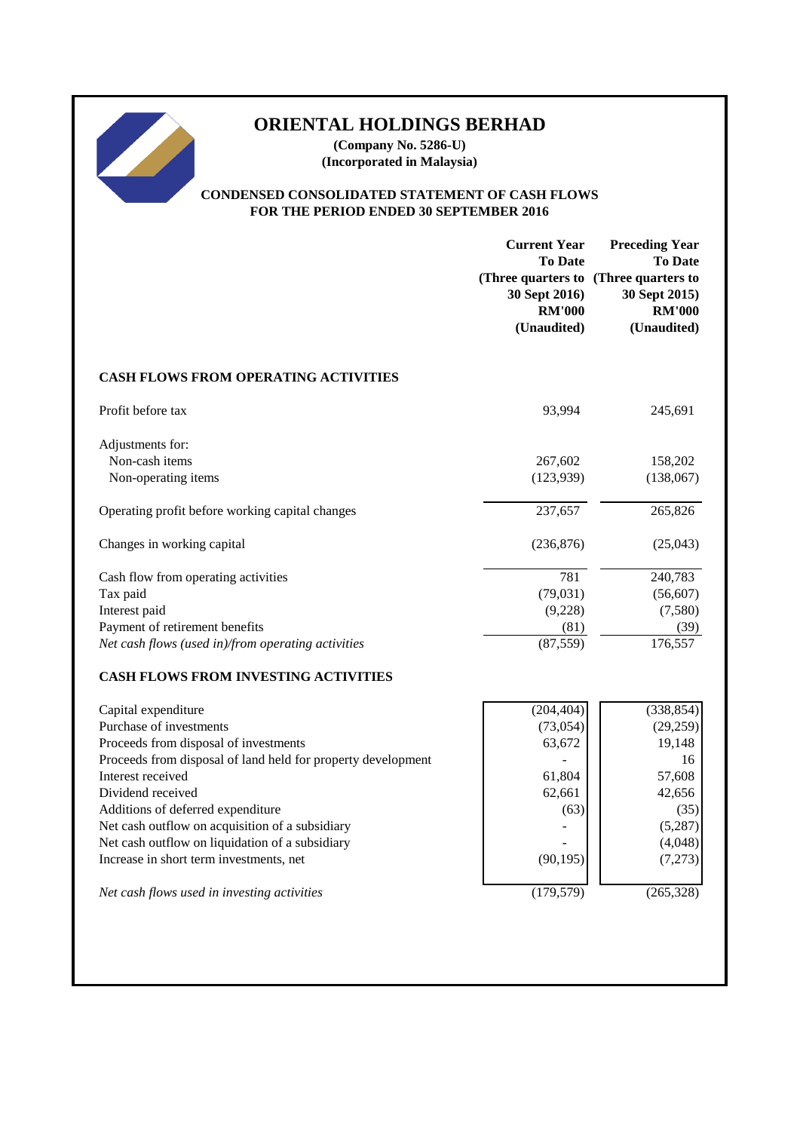# **ORIENTAL HOLDINGS BERHAD**

**(Company No. 5286-U) (Incorporated in Malaysia)**

# **CONDENSED CONSOLIDATED STATEMENT OF CASH FLOWS FOR THE PERIOD ENDED 30 SEPTEMBER 2016**

|                                                              | <b>Current Year</b><br><b>To Date</b><br>(Three quarters to (Three quarters to<br>30 Sept 2016)<br><b>RM'000</b><br>(Unaudited) | <b>Preceding Year</b><br><b>To Date</b><br>30 Sept 2015)<br><b>RM'000</b><br>(Unaudited) |
|--------------------------------------------------------------|---------------------------------------------------------------------------------------------------------------------------------|------------------------------------------------------------------------------------------|
| <b>CASH FLOWS FROM OPERATING ACTIVITIES</b>                  |                                                                                                                                 |                                                                                          |
| Profit before tax                                            | 93,994                                                                                                                          | 245,691                                                                                  |
| Adjustments for:<br>Non-cash items                           | 267,602                                                                                                                         | 158,202                                                                                  |
| Non-operating items                                          | (123, 939)                                                                                                                      | (138,067)                                                                                |
| Operating profit before working capital changes              | 237,657                                                                                                                         | 265,826                                                                                  |
| Changes in working capital                                   | (236, 876)                                                                                                                      | (25,043)                                                                                 |
| Cash flow from operating activities                          | 781                                                                                                                             | 240,783                                                                                  |
| Tax paid                                                     | (79, 031)                                                                                                                       | (56, 607)                                                                                |
| Interest paid                                                | (9,228)                                                                                                                         | (7,580)                                                                                  |
| Payment of retirement benefits                               | (81)                                                                                                                            | (39)                                                                                     |
| Net cash flows (used in)/from operating activities           | (87, 559)                                                                                                                       | 176,557                                                                                  |
| <b>CASH FLOWS FROM INVESTING ACTIVITIES</b>                  |                                                                                                                                 |                                                                                          |
| Capital expenditure                                          | (204, 404)                                                                                                                      | (338, 854)                                                                               |
| Purchase of investments                                      | (73, 054)                                                                                                                       | (29, 259)                                                                                |
| Proceeds from disposal of investments                        | 63,672                                                                                                                          | 19,148                                                                                   |
| Proceeds from disposal of land held for property development |                                                                                                                                 | 16                                                                                       |
| Interest received                                            | 61,804                                                                                                                          | 57,608                                                                                   |
| Dividend received                                            | 62,661                                                                                                                          | 42,656                                                                                   |
| Additions of deferred expenditure                            | (63)                                                                                                                            | (35)                                                                                     |
| Net cash outflow on acquisition of a subsidiary              |                                                                                                                                 | (5,287)                                                                                  |
| Net cash outflow on liquidation of a subsidiary              |                                                                                                                                 | (4,048)                                                                                  |
| Increase in short term investments, net                      | (90, 195)                                                                                                                       | (7,273)                                                                                  |
| Net cash flows used in investing activities                  | (179, 579)                                                                                                                      | (265, 328)                                                                               |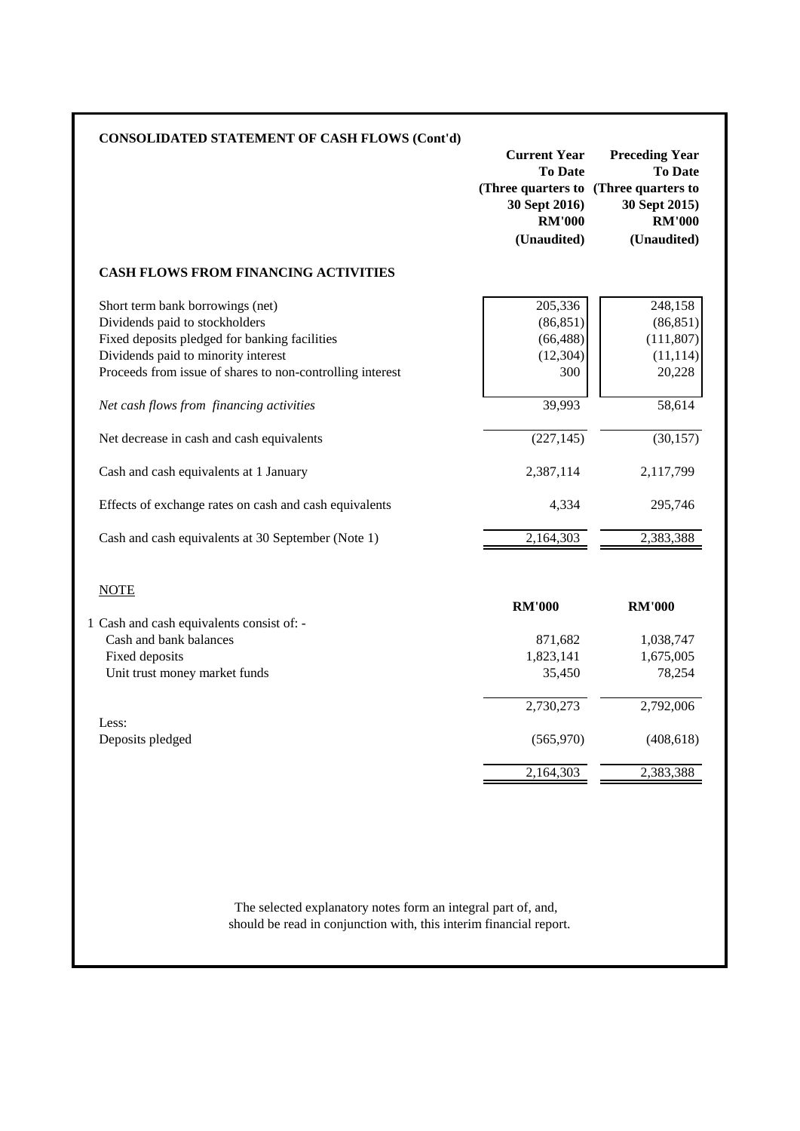| <b>CONSOLIDATED STATEMENT OF CASH FLOWS (Cont'd)</b>      | <b>Current Year</b>                                                                                      | <b>Preceding Year</b>                                           |
|-----------------------------------------------------------|----------------------------------------------------------------------------------------------------------|-----------------------------------------------------------------|
|                                                           | <b>To Date</b><br>(Three quarters to (Three quarters to<br>30 Sept 2016)<br><b>RM'000</b><br>(Unaudited) | <b>To Date</b><br>30 Sept 2015)<br><b>RM'000</b><br>(Unaudited) |
| <b>CASH FLOWS FROM FINANCING ACTIVITIES</b>               |                                                                                                          |                                                                 |
| Short term bank borrowings (net)                          | 205,336                                                                                                  | 248,158                                                         |
| Dividends paid to stockholders                            | (86, 851)                                                                                                | (86, 851)                                                       |
| Fixed deposits pledged for banking facilities             | (66, 488)                                                                                                | (111, 807)                                                      |
| Dividends paid to minority interest                       | (12, 304)                                                                                                | (11, 114)                                                       |
| Proceeds from issue of shares to non-controlling interest | 300                                                                                                      | 20,228                                                          |
| Net cash flows from financing activities                  | 39,993                                                                                                   | 58,614                                                          |
| Net decrease in cash and cash equivalents                 | (227, 145)                                                                                               | (30, 157)                                                       |
| Cash and cash equivalents at 1 January                    | 2,387,114                                                                                                | 2,117,799                                                       |
| Effects of exchange rates on cash and cash equivalents    | 4,334                                                                                                    | 295,746                                                         |
| Cash and cash equivalents at 30 September (Note 1)        | 2,164,303                                                                                                | 2,383,388                                                       |
| <b>NOTE</b>                                               |                                                                                                          |                                                                 |
|                                                           | <b>RM'000</b>                                                                                            | <b>RM'000</b>                                                   |
| 1 Cash and cash equivalents consist of: -                 |                                                                                                          |                                                                 |
| Cash and bank balances                                    | 871,682                                                                                                  | 1,038,747                                                       |
| Fixed deposits                                            | 1,823,141                                                                                                | 1,675,005                                                       |
| Unit trust money market funds                             | 35,450                                                                                                   | 78,254                                                          |
|                                                           | 2,730,273                                                                                                | 2,792,006                                                       |
|                                                           |                                                                                                          |                                                                 |
| Less:<br>Deposits pledged                                 | (565,970)                                                                                                | (408, 618)                                                      |

should be read in conjunction with, this interim financial report. The selected explanatory notes form an integral part of, and,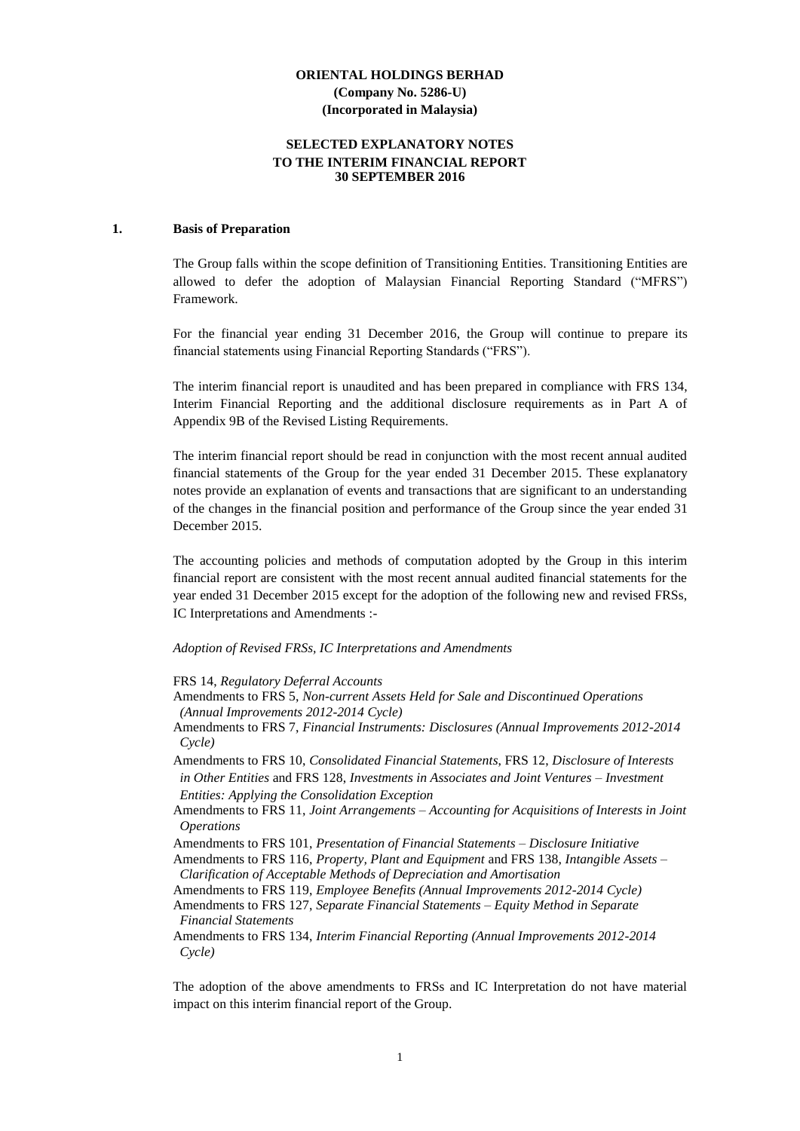#### **SELECTED EXPLANATORY NOTES TO THE INTERIM FINANCIAL REPORT 30 SEPTEMBER 2016**

#### **1. Basis of Preparation**

The Group falls within the scope definition of Transitioning Entities. Transitioning Entities are allowed to defer the adoption of Malaysian Financial Reporting Standard ("MFRS") Framework.

For the financial year ending 31 December 2016, the Group will continue to prepare its financial statements using Financial Reporting Standards ("FRS").

The interim financial report is unaudited and has been prepared in compliance with FRS 134, Interim Financial Reporting and the additional disclosure requirements as in Part A of Appendix 9B of the Revised Listing Requirements.

The interim financial report should be read in conjunction with the most recent annual audited financial statements of the Group for the year ended 31 December 2015. These explanatory notes provide an explanation of events and transactions that are significant to an understanding of the changes in the financial position and performance of the Group since the year ended 31 December 2015.

The accounting policies and methods of computation adopted by the Group in this interim financial report are consistent with the most recent annual audited financial statements for the year ended 31 December 2015 except for the adoption of the following new and revised FRSs, IC Interpretations and Amendments :-

#### *Adoption of Revised FRSs, IC Interpretations and Amendments*

FRS 14, *Regulatory Deferral Accounts*

- Amendments to FRS 5, *Non-current Assets Held for Sale and Discontinued Operations (Annual Improvements 2012-2014 Cycle)*
- Amendments to FRS 7, *Financial Instruments: Disclosures (Annual Improvements 2012-2014 Cycle)*
- Amendments to FRS 10, *Consolidated Financial Statements*, FRS 12, *Disclosure of Interests in Other Entities* and FRS 128, *Investments in Associates and Joint Ventures – Investment Entities: Applying the Consolidation Exception*
- Amendments to FRS 11, *Joint Arrangements – Accounting for Acquisitions of Interests in Joint Operations*
- Amendments to FRS 101, *Presentation of Financial Statements – Disclosure Initiative*

Amendments to FRS 116, *Property, Plant and Equipment* and FRS 138, *Intangible Assets – Clarification of Acceptable Methods of Depreciation and Amortisation*

Amendments to FRS 119, *Employee Benefits (Annual Improvements 2012-2014 Cycle)*

Amendments to FRS 127, *Separate Financial Statements – Equity Method in Separate Financial Statements*

Amendments to FRS 134, *Interim Financial Reporting (Annual Improvements 2012-2014 Cycle)*

The adoption of the above amendments to FRSs and IC Interpretation do not have material impact on this interim financial report of the Group.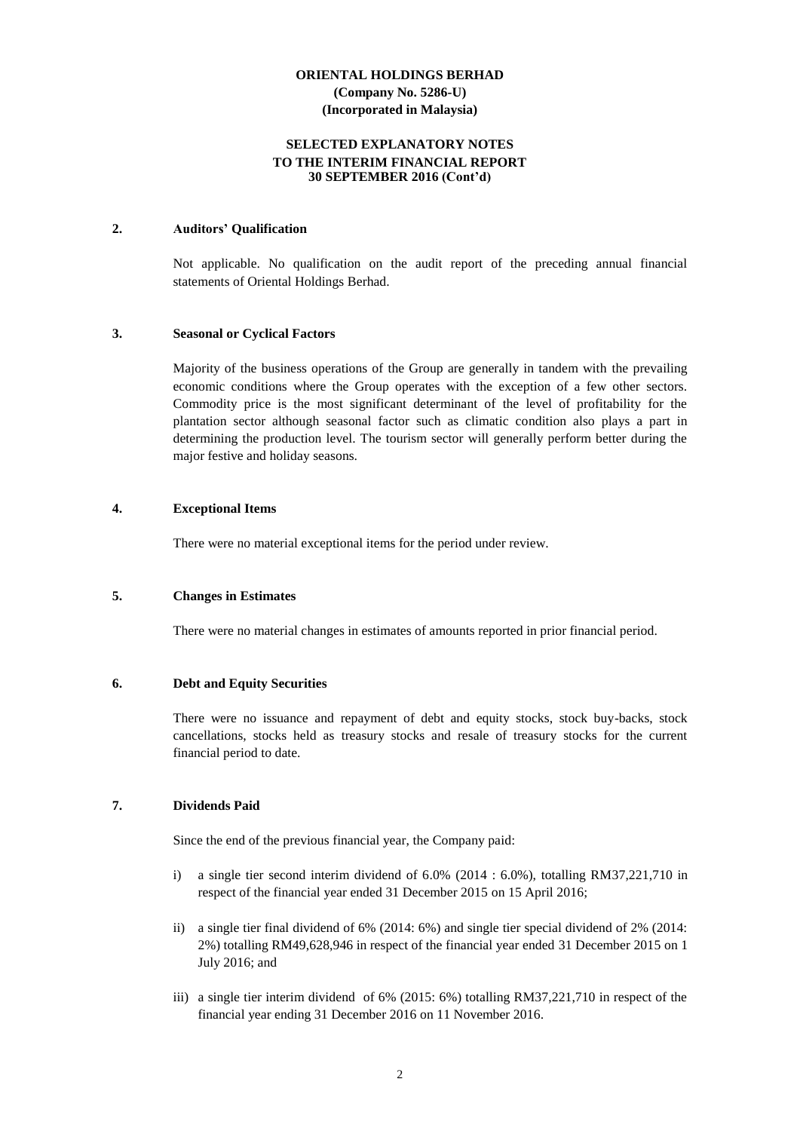#### **SELECTED EXPLANATORY NOTES TO THE INTERIM FINANCIAL REPORT 30 SEPTEMBER 2016 (Cont'd)**

#### **2. Auditors' Qualification**

Not applicable. No qualification on the audit report of the preceding annual financial statements of Oriental Holdings Berhad.

#### **3. Seasonal or Cyclical Factors**

Majority of the business operations of the Group are generally in tandem with the prevailing economic conditions where the Group operates with the exception of a few other sectors. Commodity price is the most significant determinant of the level of profitability for the plantation sector although seasonal factor such as climatic condition also plays a part in determining the production level. The tourism sector will generally perform better during the major festive and holiday seasons.

#### **4. Exceptional Items**

There were no material exceptional items for the period under review.

#### **5. Changes in Estimates**

There were no material changes in estimates of amounts reported in prior financial period.

#### **6. Debt and Equity Securities**

There were no issuance and repayment of debt and equity stocks, stock buy-backs, stock cancellations, stocks held as treasury stocks and resale of treasury stocks for the current financial period to date.

# **7. Dividends Paid**

Since the end of the previous financial year, the Company paid:

- i) a single tier second interim dividend of 6.0% (2014 : 6.0%), totalling RM37,221,710 in respect of the financial year ended 31 December 2015 on 15 April 2016;
- ii) a single tier final dividend of 6% (2014: 6%) and single tier special dividend of 2% (2014: 2%) totalling RM49,628,946 in respect of the financial year ended 31 December 2015 on 1 July 2016; and
- iii) a single tier interim dividend of 6% (2015: 6%) totalling RM37,221,710 in respect of the financial year ending 31 December 2016 on 11 November 2016.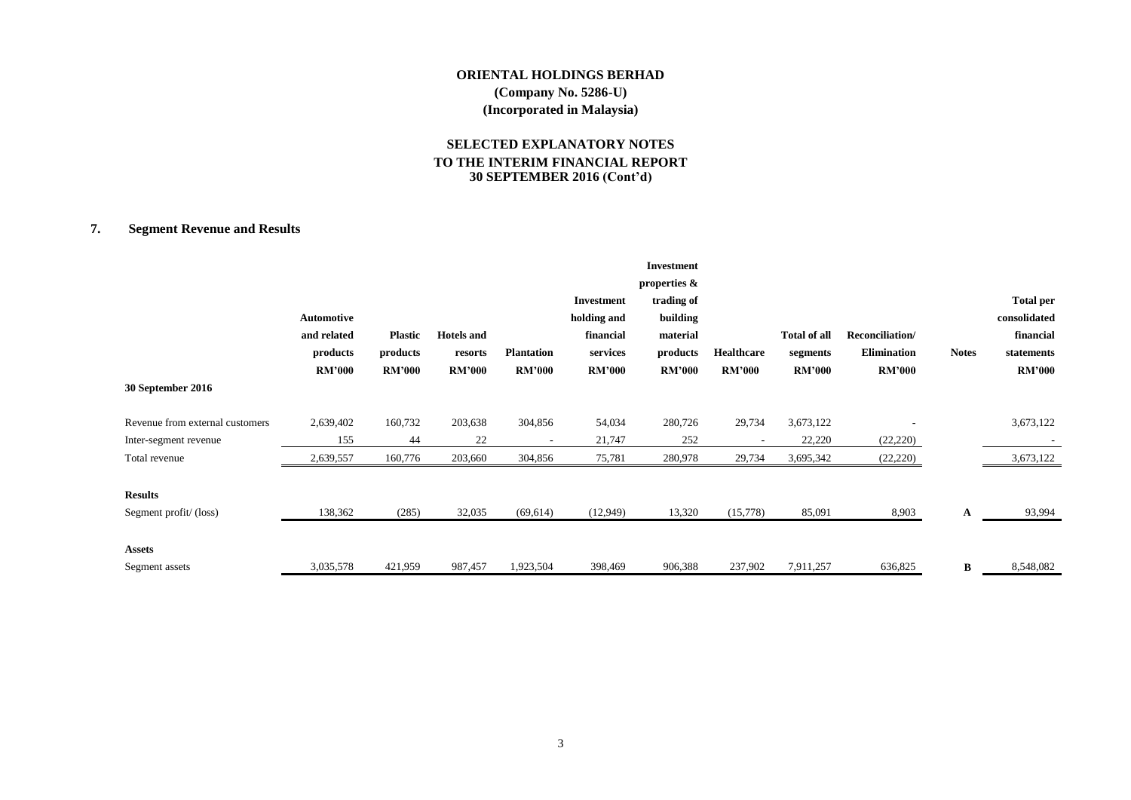# **SELECTED EXPLANATORY NOTES TO THE INTERIM FINANCIAL REPORT 30 SEPTEMBER 2016 (Cont'd)**

# **7. Segment Revenue and Results**

|                                 |                   |                |                   |                   |               | <b>Investment</b> |                   |                     |                    |              |                  |
|---------------------------------|-------------------|----------------|-------------------|-------------------|---------------|-------------------|-------------------|---------------------|--------------------|--------------|------------------|
|                                 |                   |                |                   |                   |               | properties &      |                   |                     |                    |              |                  |
|                                 |                   |                |                   |                   | Investment    | trading of        |                   |                     |                    |              | <b>Total per</b> |
|                                 | <b>Automotive</b> |                |                   |                   | holding and   | building          |                   |                     |                    |              | consolidated     |
|                                 | and related       | <b>Plastic</b> | <b>Hotels and</b> |                   | financial     | material          |                   | <b>Total of all</b> | Reconciliation/    |              | financial        |
|                                 | products          | products       | resorts           | <b>Plantation</b> | services      | products          | <b>Healthcare</b> | segments            | <b>Elimination</b> | <b>Notes</b> | statements       |
|                                 | <b>RM'000</b>     | <b>RM'000</b>  | <b>RM'000</b>     | <b>RM'000</b>     | <b>RM'000</b> | <b>RM'000</b>     | <b>RM'000</b>     | <b>RM'000</b>       | <b>RM'000</b>      |              | <b>RM'000</b>    |
| 30 September 2016               |                   |                |                   |                   |               |                   |                   |                     |                    |              |                  |
| Revenue from external customers | 2,639,402         | 160,732        | 203,638           | 304,856           | 54,034        | 280,726           | 29,734            | 3,673,122           |                    |              | 3,673,122        |
| Inter-segment revenue           | 155               | 44             | 22                |                   | 21,747        | 252               |                   | 22,220              | (22, 220)          |              |                  |
| Total revenue                   | 2,639,557         | 160,776        | 203,660           | 304,856           | 75,781        | 280,978           | 29,734            | 3,695,342           | (22, 220)          |              | 3,673,122        |
| <b>Results</b>                  |                   |                |                   |                   |               |                   |                   |                     |                    |              |                  |
| Segment profit/(loss)           | 138,362           | (285)          | 32,035            | (69, 614)         | (12,949)      | 13,320            | (15,778)          | 85,091              | 8,903              | A            | 93,994           |
| <b>Assets</b>                   |                   |                |                   |                   |               |                   |                   |                     |                    |              |                  |
| Segment assets                  | 3,035,578         | 421,959        | 987,457           | 1,923,504         | 398,469       | 906,388           | 237,902           | 7,911,257           | 636,825            | B            | 8,548,082        |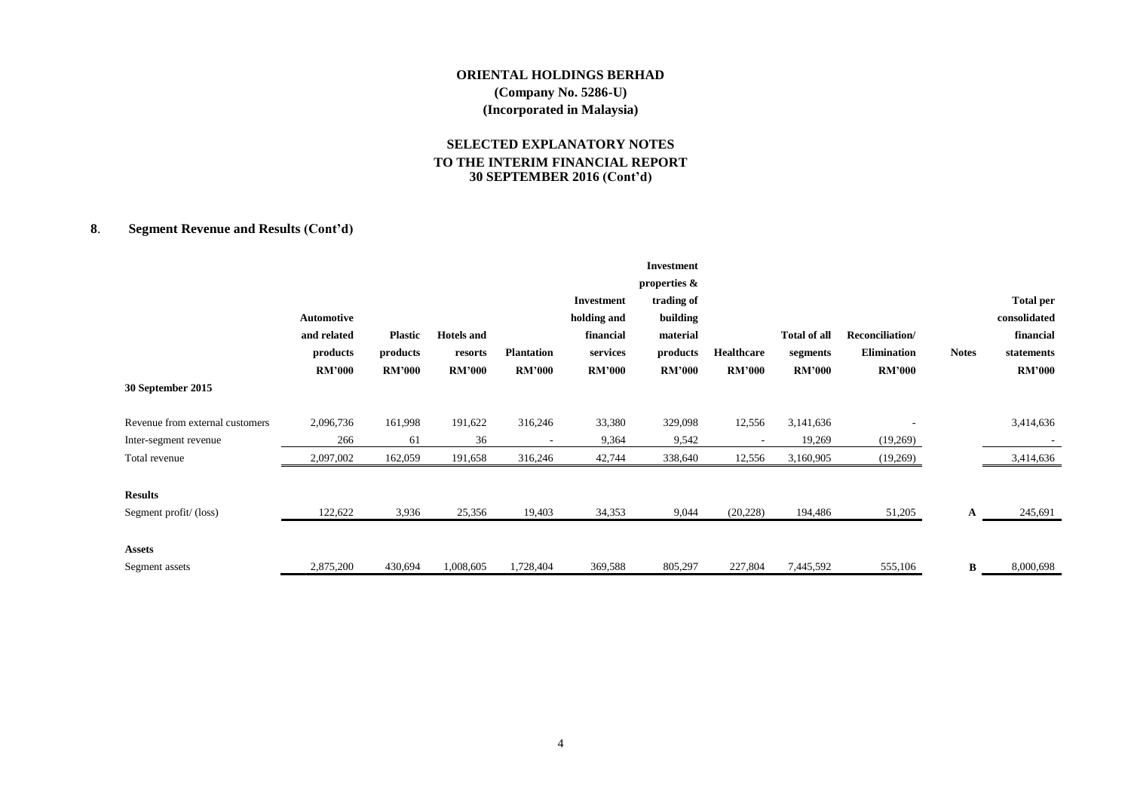# **SELECTED EXPLANATORY NOTES TO THE INTERIM FINANCIAL REPORT 30 SEPTEMBER 2016 (Cont'd)**

# **8**. **Segment Revenue and Results (Cont'd)**

|                                 |               |                |                   |                   |               | <b>Investment</b> |                   |                     |                    |              |                  |
|---------------------------------|---------------|----------------|-------------------|-------------------|---------------|-------------------|-------------------|---------------------|--------------------|--------------|------------------|
|                                 |               |                |                   |                   |               | properties &      |                   |                     |                    |              |                  |
|                                 |               |                |                   |                   | Investment    | trading of        |                   |                     |                    |              | <b>Total per</b> |
|                                 | Automotive    |                |                   |                   | holding and   | building          |                   |                     |                    |              | consolidated     |
|                                 | and related   | <b>Plastic</b> | <b>Hotels</b> and |                   | financial     | material          |                   | <b>Total of all</b> | Reconciliation/    |              | financial        |
|                                 | products      | products       | resorts           | <b>Plantation</b> | services      | products          | <b>Healthcare</b> | segments            | <b>Elimination</b> | <b>Notes</b> | statements       |
|                                 | <b>RM'000</b> | <b>RM'000</b>  | <b>RM'000</b>     | <b>RM'000</b>     | <b>RM'000</b> | <b>RM'000</b>     | <b>RM'000</b>     | <b>RM'000</b>       | <b>RM'000</b>      |              | <b>RM'000</b>    |
| 30 September 2015               |               |                |                   |                   |               |                   |                   |                     |                    |              |                  |
| Revenue from external customers | 2,096,736     | 161,998        | 191,622           | 316,246           | 33,380        | 329,098           | 12,556            | 3,141,636           |                    |              | 3,414,636        |
| Inter-segment revenue           | 266           | 61             | 36                |                   | 9,364         | 9,542             |                   | 19,269              | (19,269)           |              |                  |
| Total revenue                   | 2,097,002     | 162,059        | 191,658           | 316,246           | 42,744        | 338,640           | 12,556            | 3,160,905           | (19,269)           |              | 3,414,636        |
| <b>Results</b>                  |               |                |                   |                   |               |                   |                   |                     |                    |              |                  |
| Segment profit/(loss)           | 122,622       | 3,936          | 25,356            | 19,403            | 34,353        | 9,044             | (20, 228)         | 194,486             | 51,205             | A            | 245,691          |
| <b>Assets</b>                   |               |                |                   |                   |               |                   |                   |                     |                    |              |                  |
| Segment assets                  | 2,875,200     | 430,694        | 1,008,605         | 1,728,404         | 369,588       | 805,297           | 227,804           | 7,445,592           | 555,106            | B            | 8,000,698        |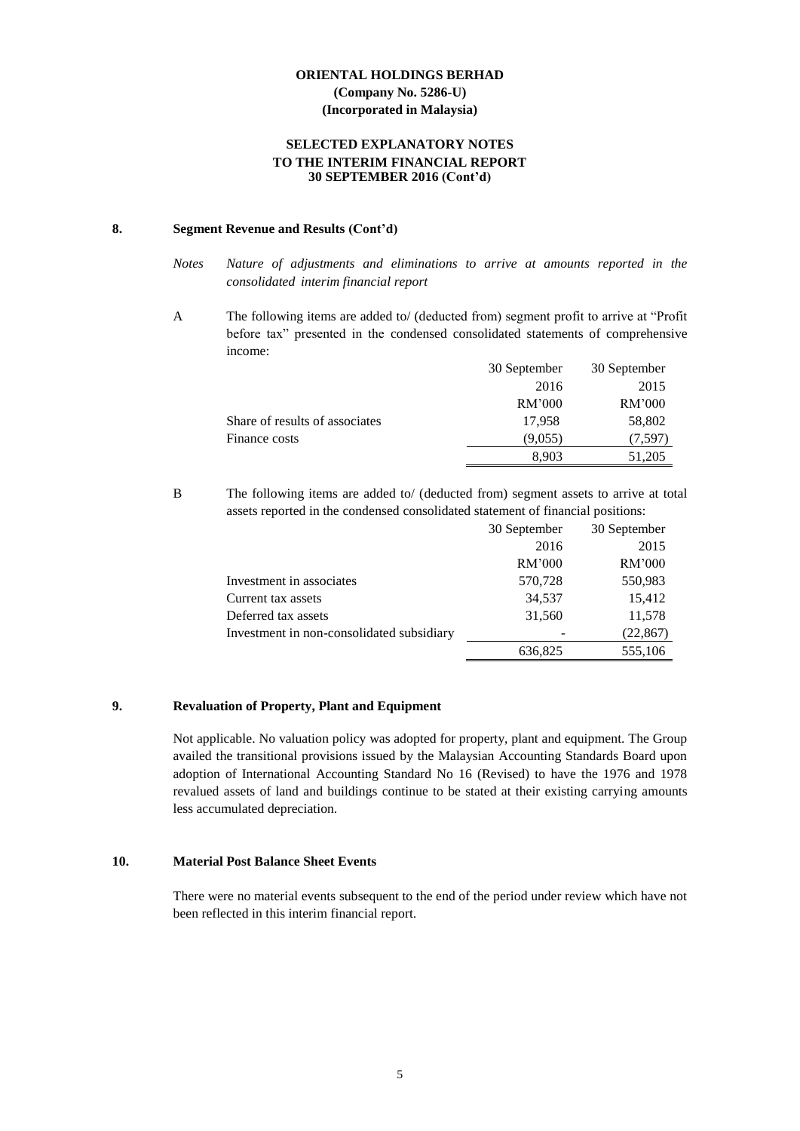#### **SELECTED EXPLANATORY NOTES TO THE INTERIM FINANCIAL REPORT 30 SEPTEMBER 2016 (Cont'd)**

# **8. Segment Revenue and Results (Cont'd)**

A The following items are added to/ (deducted from) segment profit to arrive at "Profit before tax" presented in the condensed consolidated statements of comprehensive income:

|                                | 30 September | 30 September |
|--------------------------------|--------------|--------------|
|                                | 2016         | 2015         |
|                                | RM'000       | RM'000       |
| Share of results of associates | 17,958       | 58,802       |
| Finance costs                  | (9,055)      | (7, 597)     |
|                                | 8.903        | 51,205       |

B The following items are added to/ (deducted from) segment assets to arrive at total assets reported in the condensed consolidated statement of financial positions:

|                                           | 30 September | 30 September |
|-------------------------------------------|--------------|--------------|
|                                           | 2016         | 2015         |
|                                           | RM'000       | RM'000       |
| Investment in associates                  | 570,728      | 550,983      |
| Current tax assets                        | 34,537       | 15,412       |
| Deferred tax assets                       | 31,560       | 11,578       |
| Investment in non-consolidated subsidiary |              | (22, 867)    |
|                                           | 636,825      | 555,106      |

#### **9. Revaluation of Property, Plant and Equipment**

Not applicable. No valuation policy was adopted for property, plant and equipment. The Group availed the transitional provisions issued by the Malaysian Accounting Standards Board upon adoption of International Accounting Standard No 16 (Revised) to have the 1976 and 1978 revalued assets of land and buildings continue to be stated at their existing carrying amounts less accumulated depreciation.

#### **10. Material Post Balance Sheet Events**

There were no material events subsequent to the end of the period under review which have not been reflected in this interim financial report.

*Notes Nature of adjustments and eliminations to arrive at amounts reported in the consolidated interim financial report*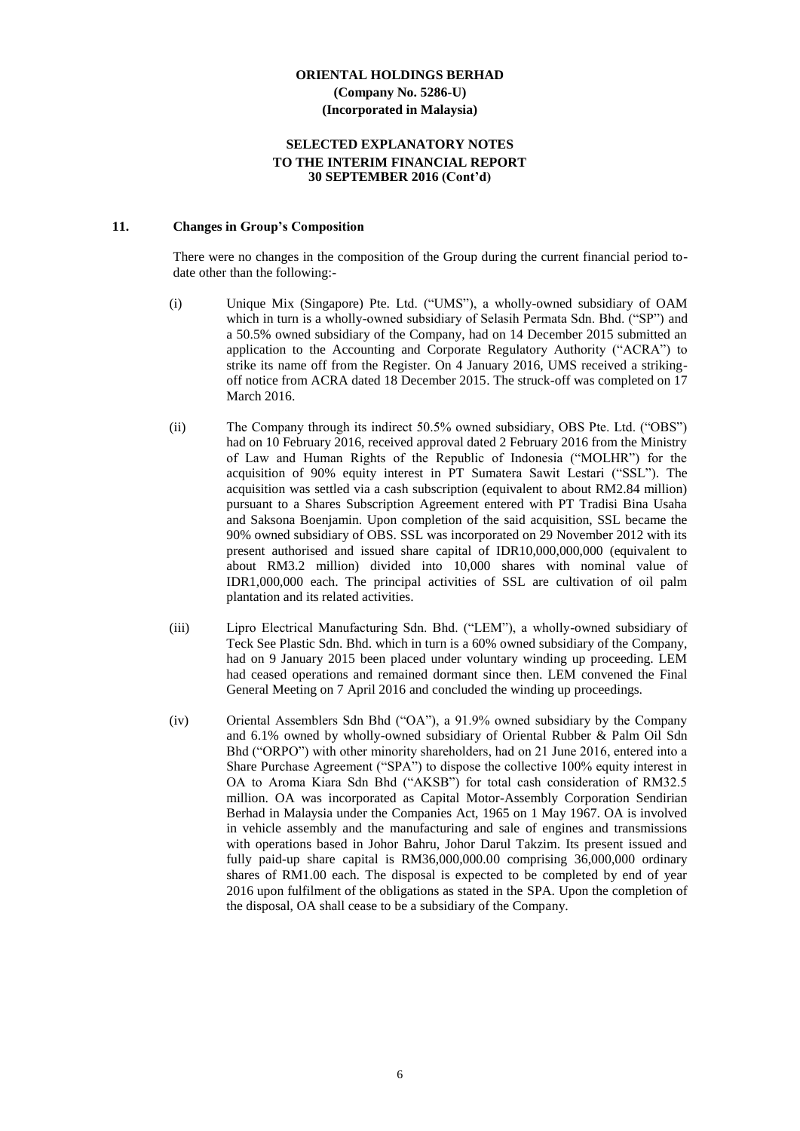#### **SELECTED EXPLANATORY NOTES TO THE INTERIM FINANCIAL REPORT 30 SEPTEMBER 2016 (Cont'd)**

#### **11. Changes in Group's Composition**

There were no changes in the composition of the Group during the current financial period todate other than the following:-

- (i) Unique Mix (Singapore) Pte. Ltd. ("UMS"), a wholly-owned subsidiary of OAM which in turn is a wholly-owned subsidiary of Selasih Permata Sdn. Bhd. ("SP") and a 50.5% owned subsidiary of the Company, had on 14 December 2015 submitted an application to the Accounting and Corporate Regulatory Authority ("ACRA") to strike its name off from the Register. On 4 January 2016, UMS received a strikingoff notice from ACRA dated 18 December 2015. The struck-off was completed on 17 March 2016.
- (ii) The Company through its indirect 50.5% owned subsidiary, OBS Pte. Ltd. ("OBS") had on 10 February 2016, received approval dated 2 February 2016 from the Ministry of Law and Human Rights of the Republic of Indonesia ("MOLHR") for the acquisition of 90% equity interest in PT Sumatera Sawit Lestari ("SSL"). The acquisition was settled via a cash subscription (equivalent to about RM2.84 million) pursuant to a Shares Subscription Agreement entered with PT Tradisi Bina Usaha and Saksona Boenjamin. Upon completion of the said acquisition, SSL became the 90% owned subsidiary of OBS. SSL was incorporated on 29 November 2012 with its present authorised and issued share capital of IDR10,000,000,000 (equivalent to about RM3.2 million) divided into 10,000 shares with nominal value of IDR1,000,000 each. The principal activities of SSL are cultivation of oil palm plantation and its related activities.
- (iii) Lipro Electrical Manufacturing Sdn. Bhd. ("LEM"), a wholly-owned subsidiary of Teck See Plastic Sdn. Bhd. which in turn is a 60% owned subsidiary of the Company, had on 9 January 2015 been placed under voluntary winding up proceeding. LEM had ceased operations and remained dormant since then. LEM convened the Final General Meeting on 7 April 2016 and concluded the winding up proceedings.
- (iv) Oriental Assemblers Sdn Bhd ("OA"), a 91.9% owned subsidiary by the Company and 6.1% owned by wholly-owned subsidiary of Oriental Rubber & Palm Oil Sdn Bhd ("ORPO") with other minority shareholders, had on 21 June 2016, entered into a Share Purchase Agreement ("SPA") to dispose the collective 100% equity interest in OA to Aroma Kiara Sdn Bhd ("AKSB") for total cash consideration of RM32.5 million. OA was incorporated as Capital Motor-Assembly Corporation Sendirian Berhad in Malaysia under the Companies Act, 1965 on 1 May 1967. OA is involved in vehicle assembly and the manufacturing and sale of engines and transmissions with operations based in Johor Bahru, Johor Darul Takzim. Its present issued and fully paid-up share capital is RM36,000,000.00 comprising 36,000,000 ordinary shares of RM1.00 each. The disposal is expected to be completed by end of year 2016 upon fulfilment of the obligations as stated in the SPA. Upon the completion of the disposal, OA shall cease to be a subsidiary of the Company.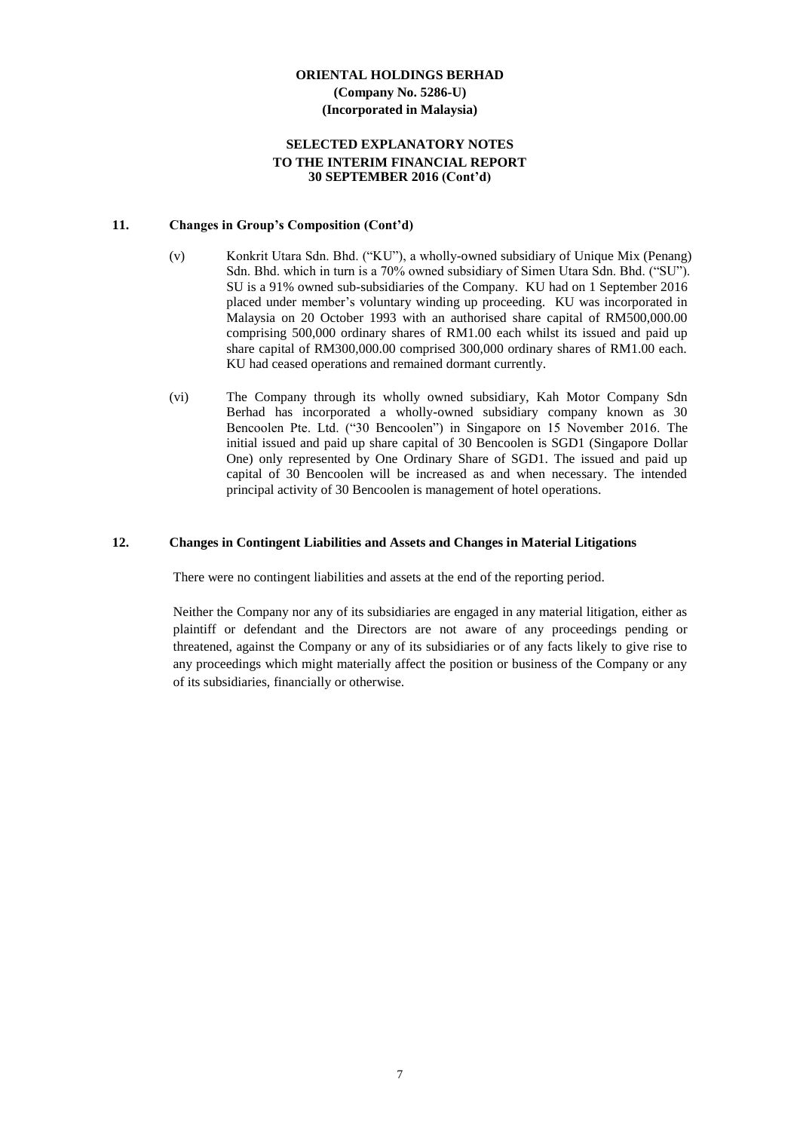#### **SELECTED EXPLANATORY NOTES TO THE INTERIM FINANCIAL REPORT 30 SEPTEMBER 2016 (Cont'd)**

#### **11. Changes in Group's Composition (Cont'd)**

- (v) Konkrit Utara Sdn. Bhd. ("KU"), a wholly-owned subsidiary of Unique Mix (Penang) Sdn. Bhd. which in turn is a 70% owned subsidiary of Simen Utara Sdn. Bhd. ("SU"). SU is a 91% owned sub-subsidiaries of the Company. KU had on 1 September 2016 placed under member's voluntary winding up proceeding. KU was incorporated in Malaysia on 20 October 1993 with an authorised share capital of RM500,000.00 comprising 500,000 ordinary shares of RM1.00 each whilst its issued and paid up share capital of RM300,000.00 comprised 300,000 ordinary shares of RM1.00 each. KU had ceased operations and remained dormant currently.
- (vi) The Company through its wholly owned subsidiary, Kah Motor Company Sdn Berhad has incorporated a wholly-owned subsidiary company known as 30 Bencoolen Pte. Ltd. ("30 Bencoolen") in Singapore on 15 November 2016. The initial issued and paid up share capital of 30 Bencoolen is SGD1 (Singapore Dollar One) only represented by One Ordinary Share of SGD1. The issued and paid up capital of 30 Bencoolen will be increased as and when necessary. The intended principal activity of 30 Bencoolen is management of hotel operations.

#### **12. Changes in Contingent Liabilities and Assets and Changes in Material Litigations**

There were no contingent liabilities and assets at the end of the reporting period.

Neither the Company nor any of its subsidiaries are engaged in any material litigation, either as plaintiff or defendant and the Directors are not aware of any proceedings pending or threatened, against the Company or any of its subsidiaries or of any facts likely to give rise to any proceedings which might materially affect the position or business of the Company or any of its subsidiaries, financially or otherwise.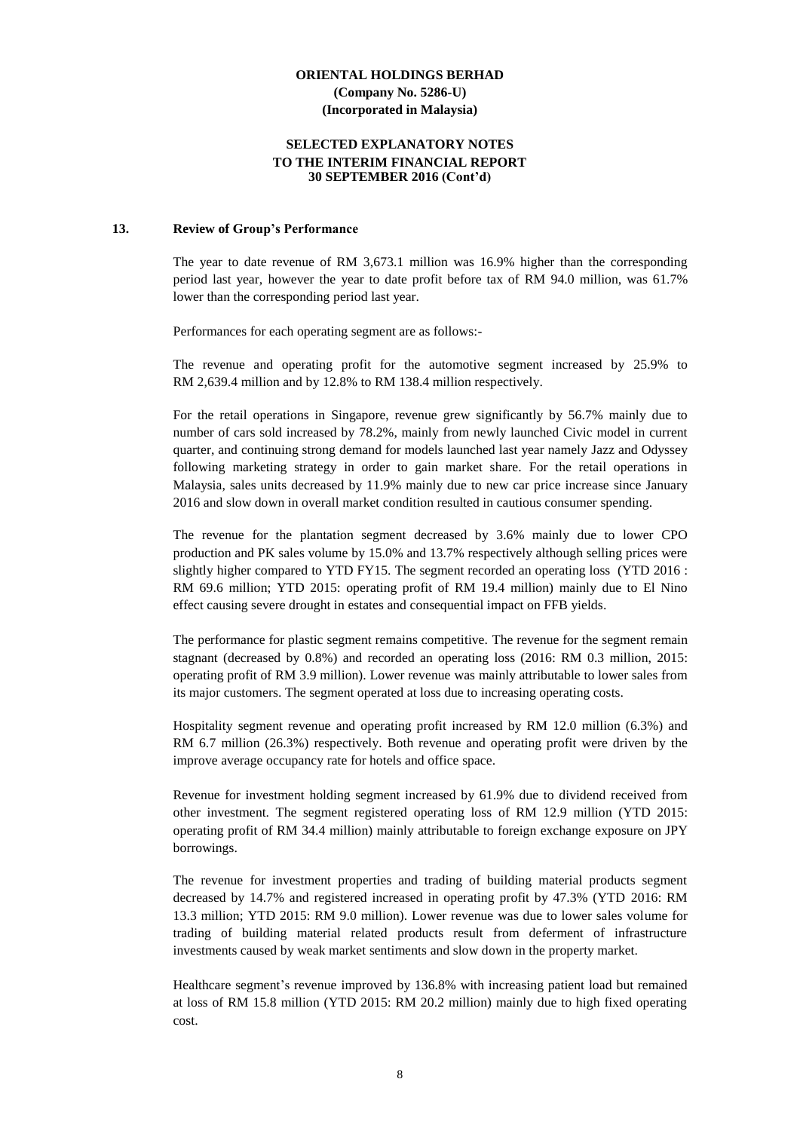#### **SELECTED EXPLANATORY NOTES TO THE INTERIM FINANCIAL REPORT 30 SEPTEMBER 2016 (Cont'd)**

#### **13. Review of Group's Performance**

The year to date revenue of RM 3,673.1 million was 16.9% higher than the corresponding period last year, however the year to date profit before tax of RM 94.0 million, was 61.7% lower than the corresponding period last year.

Performances for each operating segment are as follows:-

The revenue and operating profit for the automotive segment increased by 25.9% to RM 2,639.4 million and by 12.8% to RM 138.4 million respectively.

For the retail operations in Singapore, revenue grew significantly by 56.7% mainly due to number of cars sold increased by 78.2%, mainly from newly launched Civic model in current quarter, and continuing strong demand for models launched last year namely Jazz and Odyssey following marketing strategy in order to gain market share. For the retail operations in Malaysia, sales units decreased by 11.9% mainly due to new car price increase since January 2016 and slow down in overall market condition resulted in cautious consumer spending.

The revenue for the plantation segment decreased by 3.6% mainly due to lower CPO production and PK sales volume by 15.0% and 13.7% respectively although selling prices were slightly higher compared to YTD FY15. The segment recorded an operating loss (YTD 2016 : RM 69.6 million; YTD 2015: operating profit of RM 19.4 million) mainly due to El Nino effect causing severe drought in estates and consequential impact on FFB yields.

The performance for plastic segment remains competitive. The revenue for the segment remain stagnant (decreased by 0.8%) and recorded an operating loss (2016: RM 0.3 million, 2015: operating profit of RM 3.9 million). Lower revenue was mainly attributable to lower sales from its major customers. The segment operated at loss due to increasing operating costs.

Hospitality segment revenue and operating profit increased by RM 12.0 million (6.3%) and RM 6.7 million (26.3%) respectively. Both revenue and operating profit were driven by the improve average occupancy rate for hotels and office space.

Revenue for investment holding segment increased by 61.9% due to dividend received from other investment. The segment registered operating loss of RM 12.9 million (YTD 2015: operating profit of RM 34.4 million) mainly attributable to foreign exchange exposure on JPY borrowings.

The revenue for investment properties and trading of building material products segment decreased by 14.7% and registered increased in operating profit by 47.3% (YTD 2016: RM 13.3 million; YTD 2015: RM 9.0 million). Lower revenue was due to lower sales volume for trading of building material related products result from deferment of infrastructure investments caused by weak market sentiments and slow down in the property market.

Healthcare segment's revenue improved by 136.8% with increasing patient load but remained at loss of RM 15.8 million (YTD 2015: RM 20.2 million) mainly due to high fixed operating cost.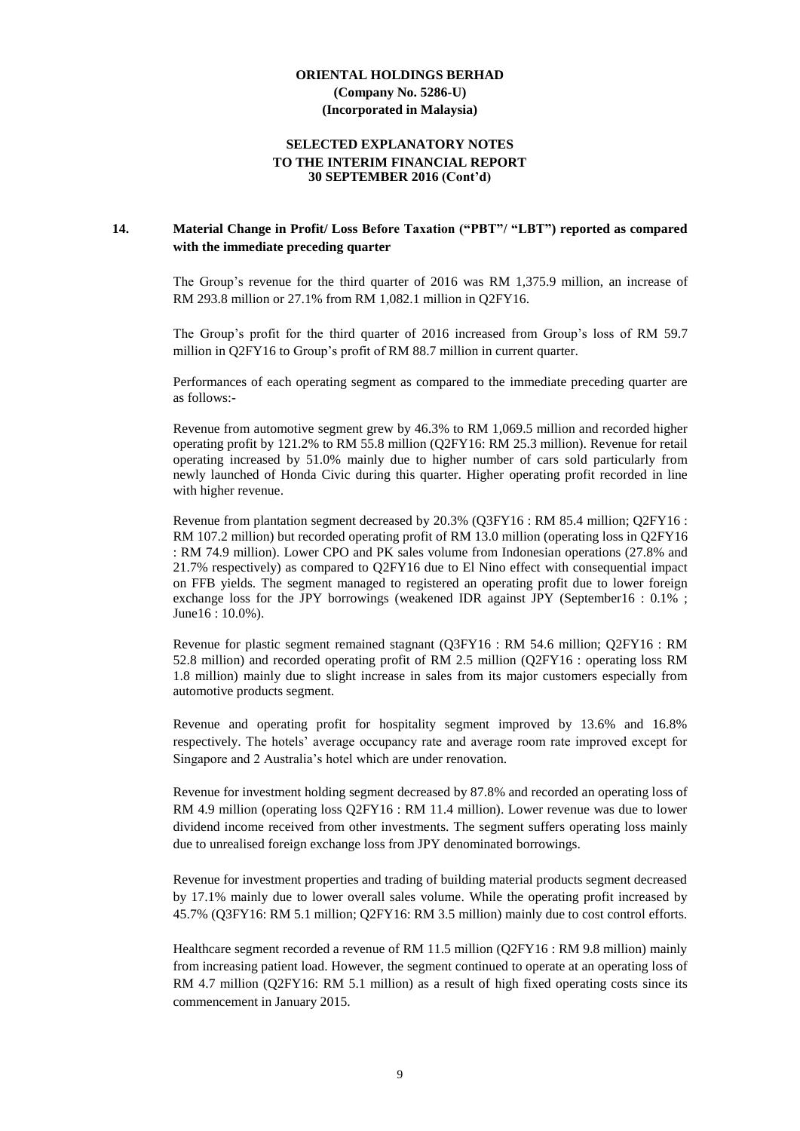#### **SELECTED EXPLANATORY NOTES TO THE INTERIM FINANCIAL REPORT 30 SEPTEMBER 2016 (Cont'd)**

## **14. Material Change in Profit/ Loss Before Taxation ("PBT"/ "LBT") reported as compared with the immediate preceding quarter**

The Group's revenue for the third quarter of 2016 was RM 1,375.9 million, an increase of RM 293.8 million or 27.1% from RM 1,082.1 million in Q2FY16.

The Group's profit for the third quarter of 2016 increased from Group's loss of RM 59.7 million in Q2FY16 to Group's profit of RM 88.7 million in current quarter.

Performances of each operating segment as compared to the immediate preceding quarter are as follows:-

Revenue from automotive segment grew by 46.3% to RM 1,069.5 million and recorded higher operating profit by 121.2% to RM 55.8 million (Q2FY16: RM 25.3 million). Revenue for retail operating increased by 51.0% mainly due to higher number of cars sold particularly from newly launched of Honda Civic during this quarter. Higher operating profit recorded in line with higher revenue.

Revenue from plantation segment decreased by 20.3% (Q3FY16 : RM 85.4 million; Q2FY16 : RM 107.2 million) but recorded operating profit of RM 13.0 million (operating loss in Q2FY16 : RM 74.9 million). Lower CPO and PK sales volume from Indonesian operations (27.8% and 21.7% respectively) as compared to Q2FY16 due to El Nino effect with consequential impact on FFB yields. The segment managed to registered an operating profit due to lower foreign exchange loss for the JPY borrowings (weakened IDR against JPY (September16 : 0.1% ; June16 : 10.0%).

Revenue for plastic segment remained stagnant (Q3FY16 : RM 54.6 million; Q2FY16 : RM 52.8 million) and recorded operating profit of RM 2.5 million (Q2FY16 : operating loss RM 1.8 million) mainly due to slight increase in sales from its major customers especially from automotive products segment.

Revenue and operating profit for hospitality segment improved by 13.6% and 16.8% respectively. The hotels' average occupancy rate and average room rate improved except for Singapore and 2 Australia's hotel which are under renovation.

Revenue for investment holding segment decreased by 87.8% and recorded an operating loss of RM 4.9 million (operating loss Q2FY16 : RM 11.4 million). Lower revenue was due to lower dividend income received from other investments. The segment suffers operating loss mainly due to unrealised foreign exchange loss from JPY denominated borrowings.

Revenue for investment properties and trading of building material products segment decreased by 17.1% mainly due to lower overall sales volume. While the operating profit increased by 45.7% (Q3FY16: RM 5.1 million; Q2FY16: RM 3.5 million) mainly due to cost control efforts.

Healthcare segment recorded a revenue of RM 11.5 million (Q2FY16 : RM 9.8 million) mainly from increasing patient load. However, the segment continued to operate at an operating loss of RM 4.7 million (Q2FY16: RM 5.1 million) as a result of high fixed operating costs since its commencement in January 2015.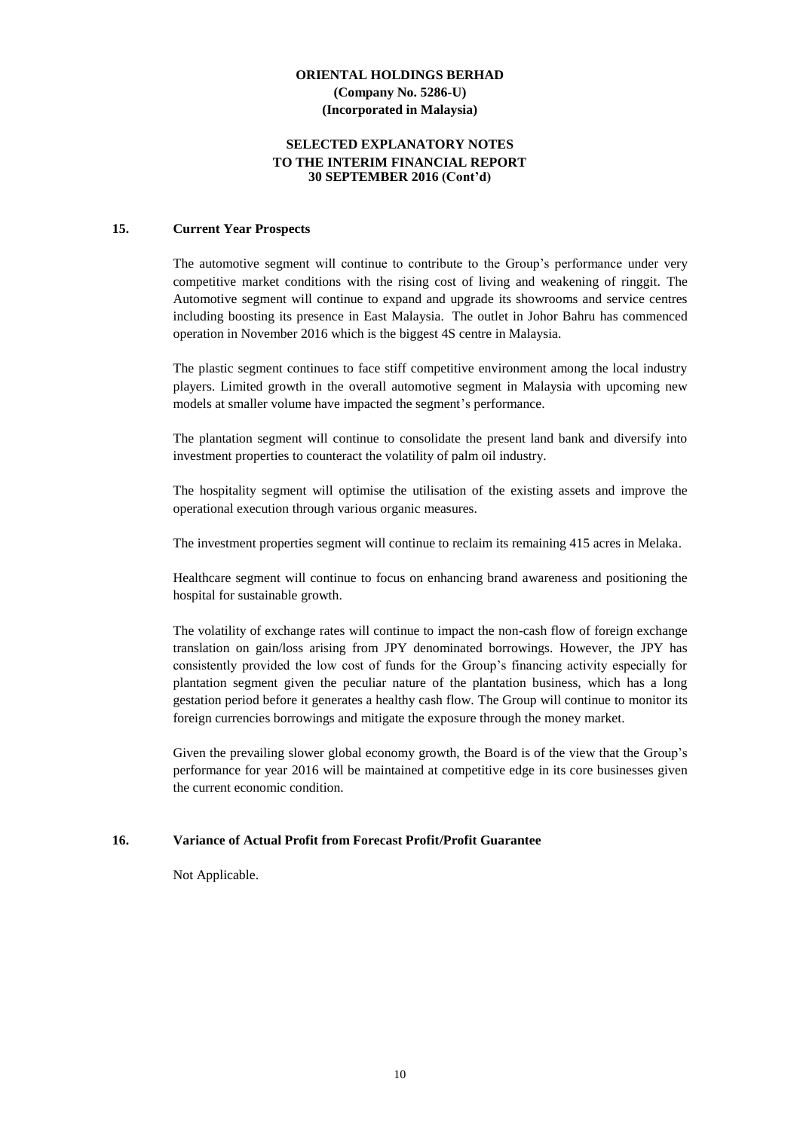#### **SELECTED EXPLANATORY NOTES TO THE INTERIM FINANCIAL REPORT 30 SEPTEMBER 2016 (Cont'd)**

#### **15. Current Year Prospects**

The automotive segment will continue to contribute to the Group's performance under very competitive market conditions with the rising cost of living and weakening of ringgit. The Automotive segment will continue to expand and upgrade its showrooms and service centres including boosting its presence in East Malaysia. The outlet in Johor Bahru has commenced operation in November 2016 which is the biggest 4S centre in Malaysia.

The plastic segment continues to face stiff competitive environment among the local industry players. Limited growth in the overall automotive segment in Malaysia with upcoming new models at smaller volume have impacted the segment's performance.

The plantation segment will continue to consolidate the present land bank and diversify into investment properties to counteract the volatility of palm oil industry.

The hospitality segment will optimise the utilisation of the existing assets and improve the operational execution through various organic measures.

The investment properties segment will continue to reclaim its remaining 415 acres in Melaka.

Healthcare segment will continue to focus on enhancing brand awareness and positioning the hospital for sustainable growth.

The volatility of exchange rates will continue to impact the non-cash flow of foreign exchange translation on gain/loss arising from JPY denominated borrowings. However, the JPY has consistently provided the low cost of funds for the Group's financing activity especially for plantation segment given the peculiar nature of the plantation business, which has a long gestation period before it generates a healthy cash flow. The Group will continue to monitor its foreign currencies borrowings and mitigate the exposure through the money market.

Given the prevailing slower global economy growth, the Board is of the view that the Group's performance for year 2016 will be maintained at competitive edge in its core businesses given the current economic condition.

#### **16. Variance of Actual Profit from Forecast Profit/Profit Guarantee**

Not Applicable.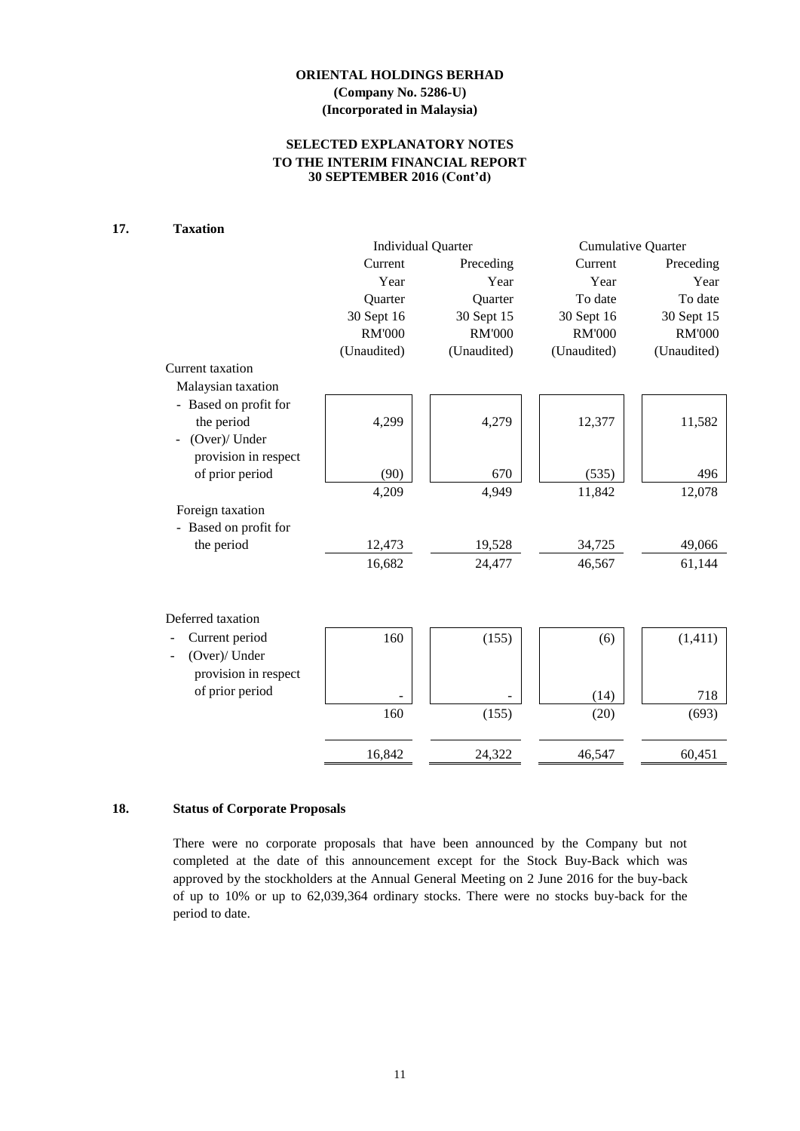# **SELECTED EXPLANATORY NOTES TO THE INTERIM FINANCIAL REPORT 30 SEPTEMBER 2016 (Cont'd)**

# **17. Taxation**

|                       |               | <b>Individual Quarter</b> | <b>Cumulative Quarter</b> |               |  |
|-----------------------|---------------|---------------------------|---------------------------|---------------|--|
|                       | Current       | Preceding                 | Current                   | Preceding     |  |
|                       | Year          | Year                      | Year                      | Year          |  |
|                       | Quarter       | Quarter                   | To date                   | To date       |  |
|                       | 30 Sept 16    | 30 Sept 15                | 30 Sept 16                | 30 Sept 15    |  |
|                       | <b>RM'000</b> | <b>RM'000</b>             | <b>RM'000</b>             | <b>RM'000</b> |  |
|                       | (Unaudited)   | (Unaudited)               | (Unaudited)               | (Unaudited)   |  |
| Current taxation      |               |                           |                           |               |  |
| Malaysian taxation    |               |                           |                           |               |  |
| - Based on profit for |               |                           |                           |               |  |
| the period            | 4,299         | 4,279                     | 12,377                    | 11,582        |  |
| (Over)/ Under         |               |                           |                           |               |  |
| provision in respect  |               |                           |                           |               |  |
| of prior period       | (90)          | 670                       | (535)                     | 496           |  |
|                       | 4,209         | 4,949                     | 11,842                    | 12,078        |  |
| Foreign taxation      |               |                           |                           |               |  |
| - Based on profit for |               |                           |                           |               |  |
| the period            | 12,473        | 19,528                    | 34,725                    | 49,066        |  |
|                       | 16,682        | 24,477                    | 46,567                    | 61,144        |  |
|                       |               |                           |                           |               |  |
|                       |               |                           |                           |               |  |
| Deferred taxation     |               |                           |                           |               |  |
| Current period        | 160           | (155)                     | (6)                       | (1, 411)      |  |
| (Over)/ Under         |               |                           |                           |               |  |
| provision in respect  |               |                           |                           |               |  |
| of prior period       |               |                           |                           |               |  |
|                       |               |                           | (14)                      | 718           |  |
|                       | 160           | (155)                     | (20)                      | (693)         |  |
|                       |               |                           |                           |               |  |
|                       | 16,842        | 24,322                    | 46,547                    | 60,451        |  |

## **18. Status of Corporate Proposals**

There were no corporate proposals that have been announced by the Company but not completed at the date of this announcement except for the Stock Buy-Back which was approved by the stockholders at the Annual General Meeting on 2 June 2016 for the buy-back of up to 10% or up to 62,039,364 ordinary stocks. There were no stocks buy-back for the period to date.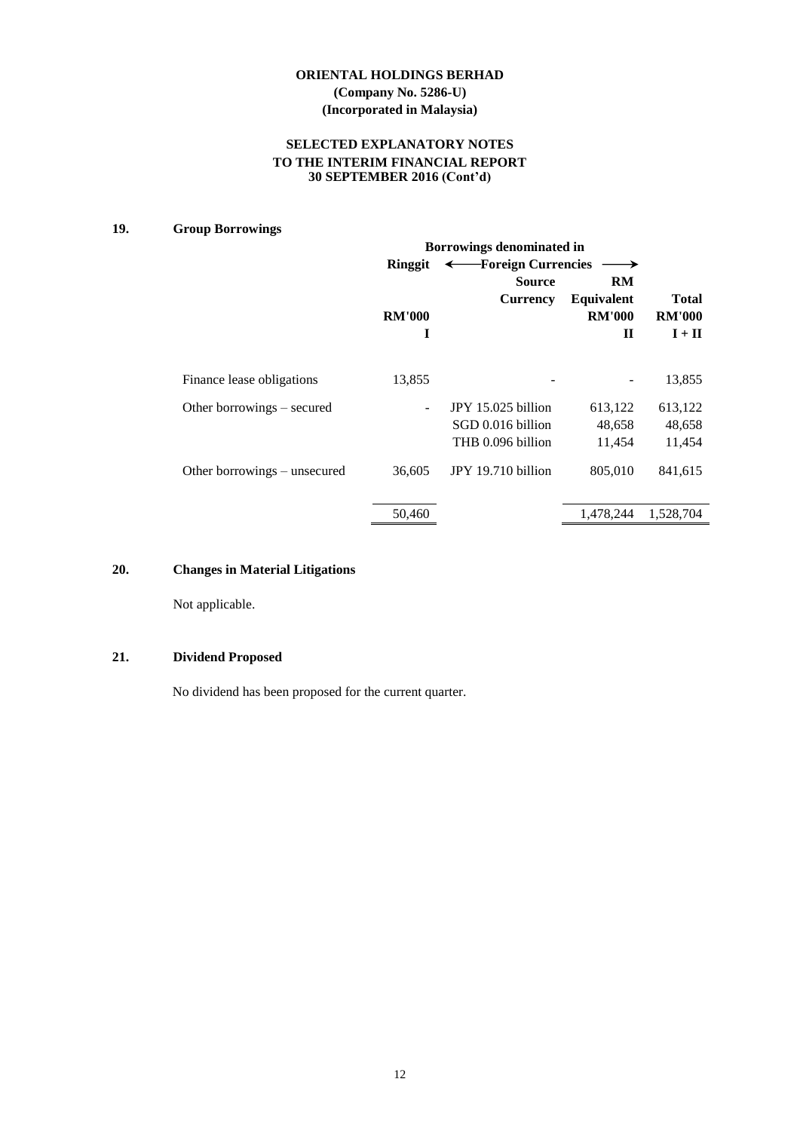## **SELECTED EXPLANATORY NOTES TO THE INTERIM FINANCIAL REPORT 30 SEPTEMBER 2016 (Cont'd)**

# **19. Group Borrowings**

|                              | Borrowings denominated in |                     |               |               |  |  |  |
|------------------------------|---------------------------|---------------------|---------------|---------------|--|--|--|
|                              | Ringgit                   | -Foreign Currencies |               |               |  |  |  |
|                              |                           | <b>Source</b>       | <b>RM</b>     |               |  |  |  |
|                              |                           | <b>Currency</b>     | Equivalent    | <b>Total</b>  |  |  |  |
|                              | <b>RM'000</b>             |                     | <b>RM'000</b> | <b>RM'000</b> |  |  |  |
|                              | I                         |                     | $\mathbf H$   | $I + II$      |  |  |  |
|                              |                           |                     |               |               |  |  |  |
| Finance lease obligations    | 13,855                    |                     |               | 13,855        |  |  |  |
| Other borrowings – secured   |                           | JPY 15.025 billion  | 613,122       | 613,122       |  |  |  |
|                              |                           | SGD 0.016 billion   | 48,658        | 48,658        |  |  |  |
|                              |                           | THB 0.096 billion   | 11,454        | 11,454        |  |  |  |
| Other borrowings – unsecured | 36,605                    | JPY 19.710 billion  | 805,010       | 841,615       |  |  |  |
|                              | 50,460                    |                     | 1,478,244     | 1,528,704     |  |  |  |

## **20. Changes in Material Litigations**

Not applicable.

# **21. Dividend Proposed**

No dividend has been proposed for the current quarter.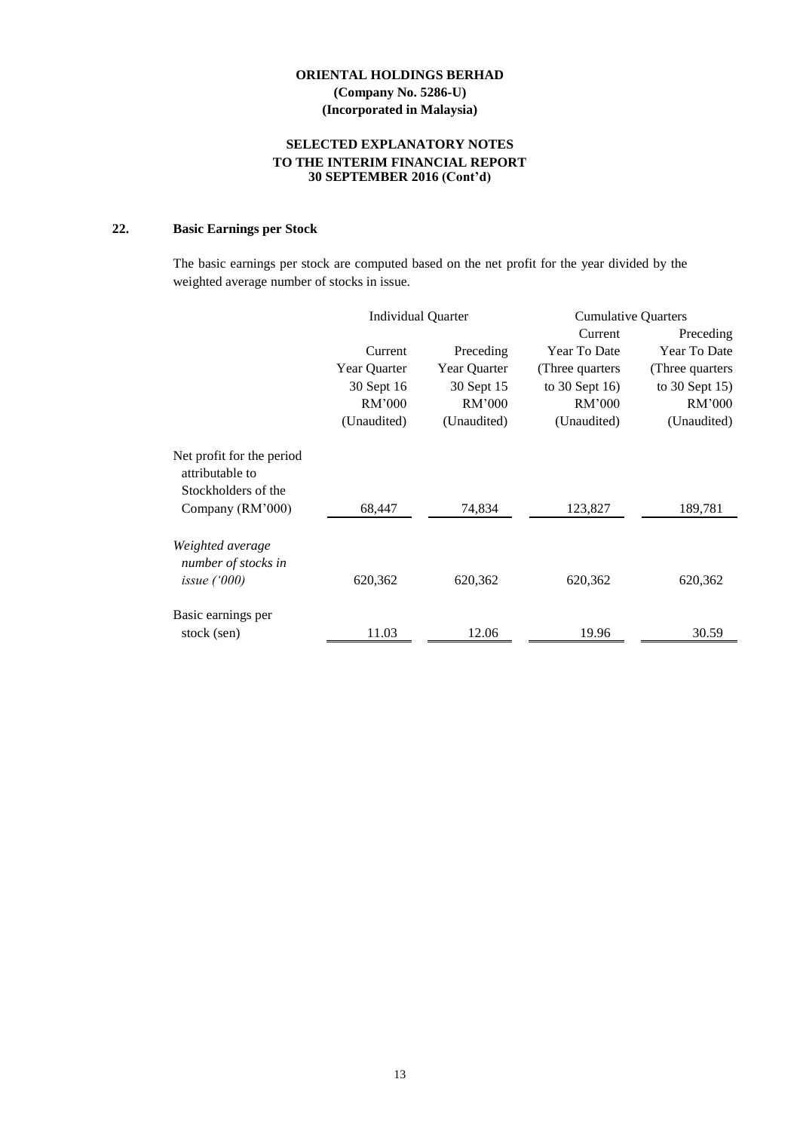## **SELECTED EXPLANATORY NOTES TO THE INTERIM FINANCIAL REPORT 30 SEPTEMBER 2016 (Cont'd)**

# **22. Basic Earnings per Stock**

The basic earnings per stock are computed based on the net profit for the year divided by the weighted average number of stocks in issue.

|                                              | <b>Individual Quarter</b> |              | <b>Cumulative Quarters</b> |                  |
|----------------------------------------------|---------------------------|--------------|----------------------------|------------------|
|                                              |                           |              | Current                    | Preceding        |
|                                              | Current                   | Preceding    | Year To Date               | Year To Date     |
|                                              | Year Quarter              | Year Quarter | (Three quarters)           | (Three quarters  |
|                                              | 30 Sept 16                | 30 Sept 15   | to $30$ Sept $16$ )        | to $30$ Sept 15) |
|                                              | RM'000                    | RM'000       | RM'000                     | RM'000           |
|                                              | (Unaudited)               | (Unaudited)  | (Unaudited)                | (Unaudited)      |
| Net profit for the period<br>attributable to |                           |              |                            |                  |
| Stockholders of the                          |                           |              |                            |                  |
| Company (RM'000)                             | 68,447                    | 74,834       | 123,827                    | 189,781          |
| Weighted average<br>number of stocks in      |                           |              |                            |                  |
| issue $(000)$                                | 620,362                   | 620,362      | 620,362                    | 620,362          |
| Basic earnings per                           |                           |              |                            |                  |
| stock (sen)                                  | 11.03                     | 12.06        | 19.96                      | 30.59            |